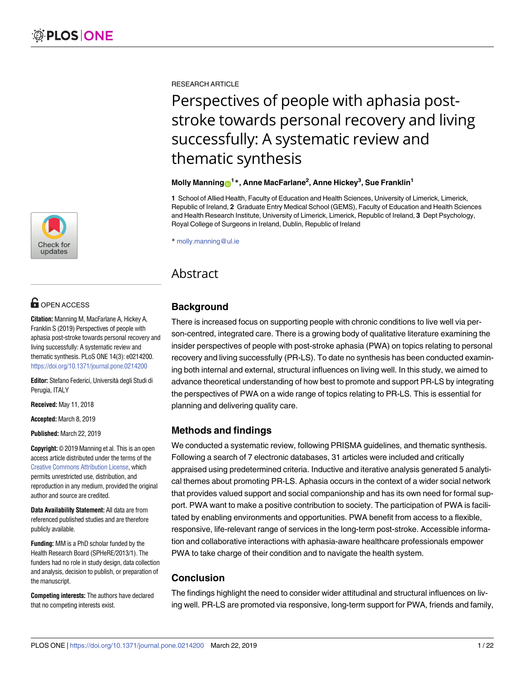

# **OPEN ACCESS**

**Citation:** Manning M, MacFarlane A, Hickey A, Franklin S (2019) Perspectives of people with aphasia post-stroke towards personal recovery and living successfully: A systematic review and thematic synthesis. PLoS ONE 14(3): e0214200. <https://doi.org/10.1371/journal.pone.0214200>

**Editor:** Stefano Federici, Università degli Studi di Perugia, ITALY

**Received:** May 11, 2018

**Accepted:** March 8, 2019

**Published:** March 22, 2019

**Copyright:** © 2019 Manning et al. This is an open access article distributed under the terms of the Creative Commons [Attribution](http://creativecommons.org/licenses/by/4.0/) License, which permits unrestricted use, distribution, and reproduction in any medium, provided the original author and source are credited.

**Data Availability Statement:** All data are from referenced published studies and are therefore publicly available.

**Funding:** MM is a PhD scholar funded by the Health Research Board (SPHeRE/2013/1). The funders had no role in study design, data collection and analysis, decision to publish, or preparation of the manuscript.

**Competing interests:** The authors have declared that no competing interests exist.

RESEARCH ARTICLE

# Perspectives of people with aphasia poststroke towards personal recovery and living successfully: A systematic review and thematic synthesis

#### $M$ olly  $M$ anning $\odot^{1*}$ , Anne  $M$ acFarlane<sup>2</sup>, Anne Hickey<sup>3</sup>, Sue Franklin<sup>1</sup>

**1** School of Allied Health, Faculty of Education and Health Sciences, University of Limerick, Limerick, Republic of Ireland, **2** Graduate Entry Medical School (GEMS), Faculty of Education and Health Sciences and Health Research Institute, University of Limerick, Limerick, Republic of Ireland, **3** Dept Psychology, Royal College of Surgeons in Ireland, Dublin, Republic of Ireland

\* molly.manning@ul.ie

# Abstract

# **Background**

There is increased focus on supporting people with chronic conditions to live well via person-centred, integrated care. There is a growing body of qualitative literature examining the insider perspectives of people with post-stroke aphasia (PWA) on topics relating to personal recovery and living successfully (PR-LS). To date no synthesis has been conducted examining both internal and external, structural influences on living well. In this study, we aimed to advance theoretical understanding of how best to promote and support PR-LS by integrating the perspectives of PWA on a wide range of topics relating to PR-LS. This is essential for planning and delivering quality care.

# **Methods and findings**

We conducted a systematic review, following PRISMA guidelines, and thematic synthesis. Following a search of 7 electronic databases, 31 articles were included and critically appraised using predetermined criteria. Inductive and iterative analysis generated 5 analytical themes about promoting PR-LS. Aphasia occurs in the context of a wider social network that provides valued support and social companionship and has its own need for formal support. PWA want to make a positive contribution to society. The participation of PWA is facilitated by enabling environments and opportunities. PWA benefit from access to a flexible, responsive, life-relevant range of services in the long-term post-stroke. Accessible information and collaborative interactions with aphasia-aware healthcare professionals empower PWA to take charge of their condition and to navigate the health system.

# **Conclusion**

The findings highlight the need to consider wider attitudinal and structural influences on living well. PR-LS are promoted via responsive, long-term support for PWA, friends and family,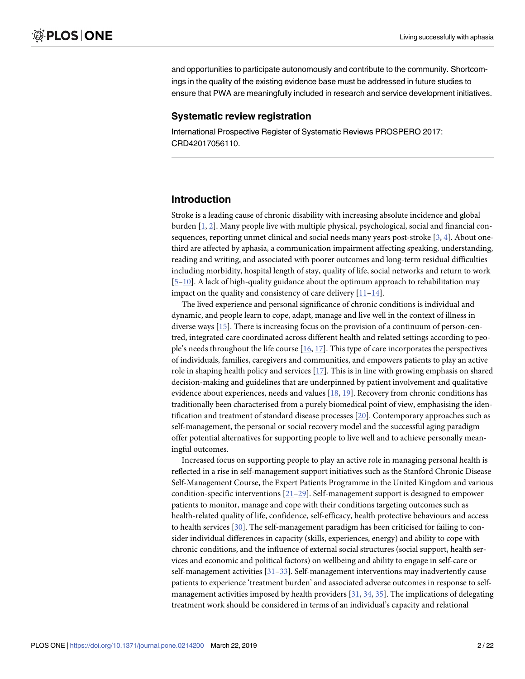<span id="page-1-0"></span>and opportunities to participate autonomously and contribute to the community. Shortcomings in the quality of the existing evidence base must be addressed in future studies to ensure that PWA are meaningfully included in research and service development initiatives.

#### **Systematic review registration**

International Prospective Register of Systematic Reviews PROSPERO 2017: CRD42017056110.

#### **Introduction**

Stroke is a leading cause of chronic disability with increasing absolute incidence and global burden [[1](#page-15-0), [2\]](#page-15-0). Many people live with multiple physical, psychological, social and financial consequences, reporting unmet clinical and social needs many years post-stroke [\[3](#page-15-0), [4](#page-15-0)]. About onethird are affected by aphasia, a communication impairment affecting speaking, understanding, reading and writing, and associated with poorer outcomes and long-term residual difficulties including morbidity, hospital length of stay, quality of life, social networks and return to work [\[5–10\]](#page-16-0). A lack of high-quality guidance about the optimum approach to rehabilitation may impact on the quality and consistency of care delivery  $[11-14]$ .

The lived experience and personal significance of chronic conditions is individual and dynamic, and people learn to cope, adapt, manage and live well in the context of illness in diverse ways [\[15\]](#page-16-0). There is increasing focus on the provision of a continuum of person-centred, integrated care coordinated across different health and related settings according to people's needs throughout the life course [[16](#page-16-0), [17\]](#page-16-0). This type of care incorporates the perspectives of individuals, families, caregivers and communities, and empowers patients to play an active role in shaping health policy and services [\[17\]](#page-16-0). This is in line with growing emphasis on shared decision-making and guidelines that are underpinned by patient involvement and qualitative evidence about experiences, needs and values [\[18,](#page-16-0) [19\]](#page-16-0). Recovery from chronic conditions has traditionally been characterised from a purely biomedical point of view, emphasising the identification and treatment of standard disease processes [\[20\]](#page-16-0). Contemporary approaches such as self-management, the personal or social recovery model and the successful aging paradigm offer potential alternatives for supporting people to live well and to achieve personally meaningful outcomes.

Increased focus on supporting people to play an active role in managing personal health is reflected in a rise in self-management support initiatives such as the Stanford Chronic Disease Self-Management Course, the Expert Patients Programme in the United Kingdom and various condition-specific interventions [\[21–](#page-16-0)[29](#page-17-0)]. Self-management support is designed to empower patients to monitor, manage and cope with their conditions targeting outcomes such as health-related quality of life, confidence, self-efficacy, health protective behaviours and access to health services [\[30\]](#page-17-0). The self-management paradigm has been criticised for failing to consider individual differences in capacity (skills, experiences, energy) and ability to cope with chronic conditions, and the influence of external social structures (social support, health services and economic and political factors) on wellbeing and ability to engage in self-care or self-management activities [[31–33\]](#page-17-0). Self-management interventions may inadvertently cause patients to experience 'treatment burden' and associated adverse outcomes in response to selfmanagement activities imposed by health providers  $[31, 34, 35]$  $[31, 34, 35]$  $[31, 34, 35]$  $[31, 34, 35]$  $[31, 34, 35]$  $[31, 34, 35]$ . The implications of delegating treatment work should be considered in terms of an individual's capacity and relational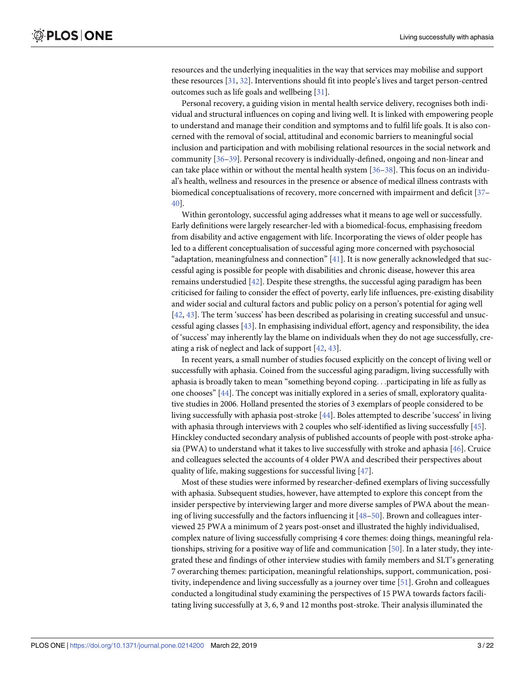<span id="page-2-0"></span>resources and the underlying inequalities in the way that services may mobilise and support these resources [[31](#page-17-0), [32](#page-17-0)]. Interventions should fit into people's lives and target person-centred outcomes such as life goals and wellbeing [\[31\]](#page-17-0).

Personal recovery, a guiding vision in mental health service delivery, recognises both individual and structural influences on coping and living well. It is linked with empowering people to understand and manage their condition and symptoms and to fulfil life goals. It is also concerned with the removal of social, attitudinal and economic barriers to meaningful social inclusion and participation and with mobilising relational resources in the social network and community [\[36–39](#page-17-0)]. Personal recovery is individually-defined, ongoing and non-linear and can take place within or without the mental health system [\[36–38](#page-17-0)]. This focus on an individual's health, wellness and resources in the presence or absence of medical illness contrasts with biomedical conceptualisations of recovery, more concerned with impairment and deficit [[37](#page-17-0)– [40\]](#page-17-0).

Within gerontology, successful aging addresses what it means to age well or successfully. Early definitions were largely researcher-led with a biomedical-focus, emphasising freedom from disability and active engagement with life. Incorporating the views of older people has led to a different conceptualisation of successful aging more concerned with psychosocial "adaptation, meaningfulness and connection"  $[41]$  $[41]$  $[41]$ . It is now generally acknowledged that successful aging is possible for people with disabilities and chronic disease, however this area remains understudied [\[42\]](#page-17-0). Despite these strengths, the successful aging paradigm has been criticised for failing to consider the effect of poverty, early life influences, pre-existing disability and wider social and cultural factors and public policy on a person's potential for aging well [\[42,](#page-17-0) [43\]](#page-17-0). The term 'success' has been described as polarising in creating successful and unsuccessful aging classes [\[43\]](#page-17-0). In emphasising individual effort, agency and responsibility, the idea of 'success' may inherently lay the blame on individuals when they do not age successfully, creating a risk of neglect and lack of support [[42](#page-17-0), [43](#page-17-0)].

In recent years, a small number of studies focused explicitly on the concept of living well or successfully with aphasia. Coined from the successful aging paradigm, living successfully with aphasia is broadly taken to mean "something beyond coping. . .participating in life as fully as one chooses" [[44](#page-17-0)]. The concept was initially explored in a series of small, exploratory qualitative studies in 2006. Holland presented the stories of 3 exemplars of people considered to be living successfully with aphasia post-stroke [[44](#page-17-0)]. Boles attempted to describe 'success' in living with aphasia through interviews with 2 couples who self-identified as living successfully [\[45\]](#page-17-0). Hinckley conducted secondary analysis of published accounts of people with post-stroke aphasia (PWA) to understand what it takes to live successfully with stroke and aphasia [\[46\]](#page-17-0). Cruice and colleagues selected the accounts of 4 older PWA and described their perspectives about quality of life, making suggestions for successful living [[47](#page-17-0)].

Most of these studies were informed by researcher-defined exemplars of living successfully with aphasia. Subsequent studies, however, have attempted to explore this concept from the insider perspective by interviewing larger and more diverse samples of PWA about the meaning of living successfully and the factors influencing it [[48–50\]](#page-17-0). Brown and colleagues interviewed 25 PWA a minimum of 2 years post-onset and illustrated the highly individualised, complex nature of living successfully comprising 4 core themes: doing things, meaningful relationships, striving for a positive way of life and communication [\[50\]](#page-17-0). In a later study, they integrated these and findings of other interview studies with family members and SLT's generating 7 overarching themes: participation, meaningful relationships, support, communication, positivity, independence and living successfully as a journey over time [\[51](#page-17-0)]. Grohn and colleagues conducted a longitudinal study examining the perspectives of 15 PWA towards factors facilitating living successfully at 3, 6, 9 and 12 months post-stroke. Their analysis illuminated the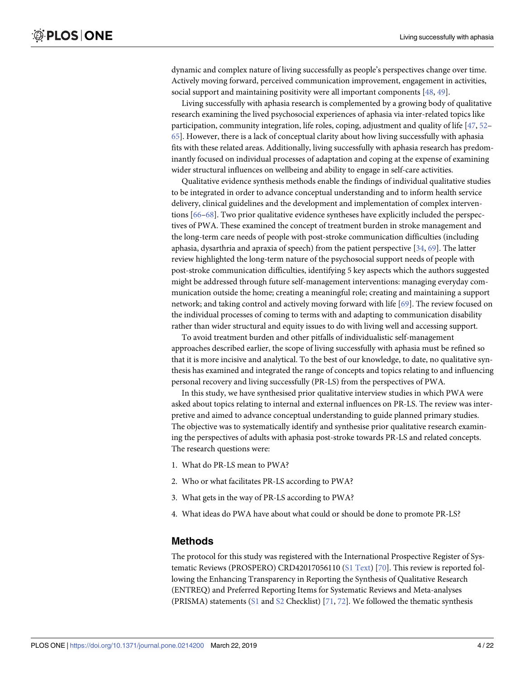<span id="page-3-0"></span>dynamic and complex nature of living successfully as people's perspectives change over time. Actively moving forward, perceived communication improvement, engagement in activities, social support and maintaining positivity were all important components [\[48,](#page-17-0) [49\]](#page-17-0).

Living successfully with aphasia research is complemented by a growing body of qualitative research examining the lived psychosocial experiences of aphasia via inter-related topics like participation, community integration, life roles, coping, adjustment and quality of life [\[47,](#page-17-0) [52–](#page-18-0) [65\]](#page-18-0). However, there is a lack of conceptual clarity about how living successfully with aphasia fits with these related areas. Additionally, living successfully with aphasia research has predominantly focused on individual processes of adaptation and coping at the expense of examining wider structural influences on wellbeing and ability to engage in self-care activities.

Qualitative evidence synthesis methods enable the findings of individual qualitative studies to be integrated in order to advance conceptual understanding and to inform health service delivery, clinical guidelines and the development and implementation of complex interventions [\[66–68\]](#page-18-0). Two prior qualitative evidence syntheses have explicitly included the perspectives of PWA. These examined the concept of treatment burden in stroke management and the long-term care needs of people with post-stroke communication difficulties (including aphasia, dysarthria and apraxia of speech) from the patient perspective [\[34,](#page-17-0) [69\]](#page-18-0). The latter review highlighted the long-term nature of the psychosocial support needs of people with post-stroke communication difficulties, identifying 5 key aspects which the authors suggested might be addressed through future self-management interventions: managing everyday communication outside the home; creating a meaningful role; creating and maintaining a support network; and taking control and actively moving forward with life [[69](#page-18-0)]. The review focused on the individual processes of coming to terms with and adapting to communication disability rather than wider structural and equity issues to do with living well and accessing support.

To avoid treatment burden and other pitfalls of individualistic self-management approaches described earlier, the scope of living successfully with aphasia must be refined so that it is more incisive and analytical. To the best of our knowledge, to date, no qualitative synthesis has examined and integrated the range of concepts and topics relating to and influencing personal recovery and living successfully (PR-LS) from the perspectives of PWA.

In this study, we have synthesised prior qualitative interview studies in which PWA were asked about topics relating to internal and external influences on PR-LS. The review was interpretive and aimed to advance conceptual understanding to guide planned primary studies. The objective was to systematically identify and synthesise prior qualitative research examining the perspectives of adults with aphasia post-stroke towards PR-LS and related concepts. The research questions were:

- 1. What do PR-LS mean to PWA?
- 2. Who or what facilitates PR-LS according to PWA?
- 3. What gets in the way of PR-LS according to PWA?
- 4. What ideas do PWA have about what could or should be done to promote PR-LS?

#### **Methods**

The protocol for this study was registered with the International Prospective Register of Systematic Reviews (PROSPERO) CRD42017056110 (S1 [Text](#page-14-0)) [\[70\]](#page-18-0). This review is reported following the Enhancing Transparency in Reporting the Synthesis of Qualitative Research (ENTREQ) and Preferred Reporting Items for Systematic Reviews and Meta-analyses (PRISMA) statements ( $S1$  and  $S2$  Checklist) [[71](#page-18-0), [72](#page-18-0)]. We followed the thematic synthesis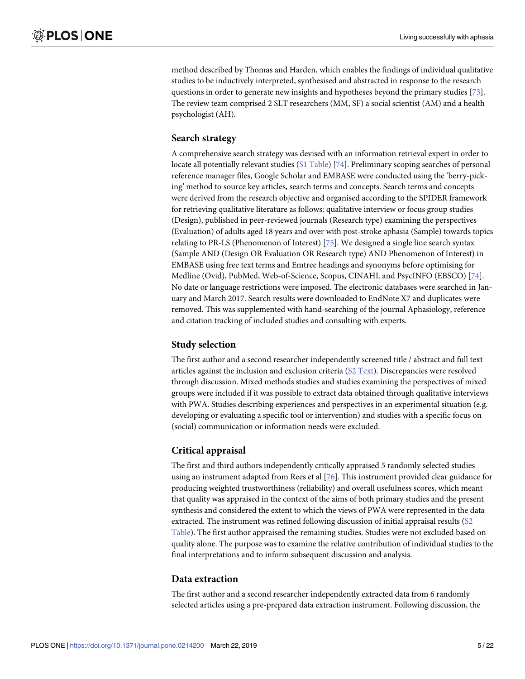<span id="page-4-0"></span>method described by Thomas and Harden, which enables the findings of individual qualitative studies to be inductively interpreted, synthesised and abstracted in response to the research questions in order to generate new insights and hypotheses beyond the primary studies [[73](#page-18-0)]. The review team comprised 2 SLT researchers (MM, SF) a social scientist (AM) and a health psychologist (AH).

#### **Search strategy**

A comprehensive search strategy was devised with an information retrieval expert in order to locate all potentially relevant studies (S1 [Table\)](#page-15-0) [\[74](#page-18-0)]. Preliminary scoping searches of personal reference manager files, Google Scholar and EMBASE were conducted using the 'berry-picking' method to source key articles, search terms and concepts. Search terms and concepts were derived from the research objective and organised according to the SPIDER framework for retrieving qualitative literature as follows: qualitative interview or focus group studies (Design), published in peer-reviewed journals (Research type) examining the perspectives (Evaluation) of adults aged 18 years and over with post-stroke aphasia (Sample) towards topics relating to PR-LS (Phenomenon of Interest) [\[75\]](#page-18-0). We designed a single line search syntax (Sample AND (Design OR Evaluation OR Research type) AND Phenomenon of Interest) in EMBASE using free text terms and Emtree headings and synonyms before optimising for Medline (Ovid), PubMed, Web-of-Science, Scopus, CINAHL and PsycINFO (EBSCO) [[74](#page-18-0)]. No date or language restrictions were imposed. The electronic databases were searched in January and March 2017. Search results were downloaded to EndNote X7 and duplicates were removed. This was supplemented with hand-searching of the journal Aphasiology, reference and citation tracking of included studies and consulting with experts.

## **Study selection**

The first author and a second researcher independently screened title / abstract and full text articles against the inclusion and exclusion criteria (S2 [Text\)](#page-14-0). Discrepancies were resolved through discussion. Mixed methods studies and studies examining the perspectives of mixed groups were included if it was possible to extract data obtained through qualitative interviews with PWA. Studies describing experiences and perspectives in an experimental situation (e.g. developing or evaluating a specific tool or intervention) and studies with a specific focus on (social) communication or information needs were excluded.

## **Critical appraisal**

The first and third authors independently critically appraised 5 randomly selected studies using an instrument adapted from Rees et al [\[76\]](#page-18-0). This instrument provided clear guidance for producing weighted trustworthiness (reliability) and overall usefulness scores, which meant that quality was appraised in the context of the aims of both primary studies and the present synthesis and considered the extent to which the views of PWA were represented in the data extracted. The instrument was refined following discussion of initial appraisal results [\(S2](#page-15-0) [Table](#page-15-0)). The first author appraised the remaining studies. Studies were not excluded based on quality alone. The purpose was to examine the relative contribution of individual studies to the final interpretations and to inform subsequent discussion and analysis.

#### **Data extraction**

The first author and a second researcher independently extracted data from 6 randomly selected articles using a pre-prepared data extraction instrument. Following discussion, the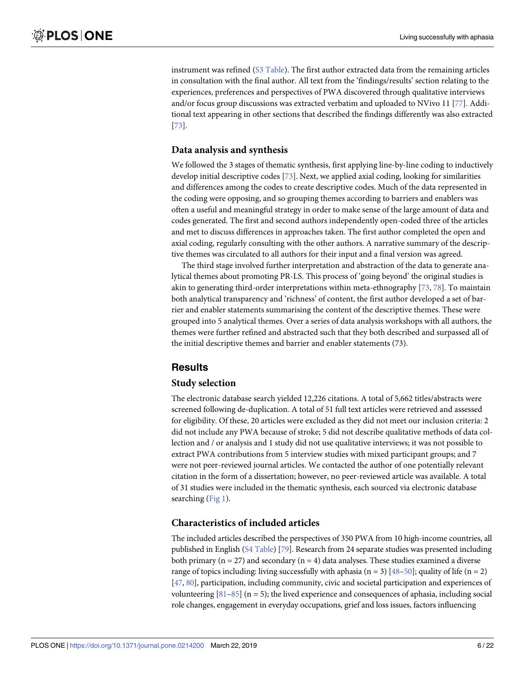<span id="page-5-0"></span>instrument was refined (S3 [Table\)](#page-15-0). The first author extracted data from the remaining articles in consultation with the final author. All text from the 'findings/results' section relating to the experiences, preferences and perspectives of PWA discovered through qualitative interviews and/or focus group discussions was extracted verbatim and uploaded to NVivo 11 [[77](#page-19-0)]. Additional text appearing in other sections that described the findings differently was also extracted [\[73\]](#page-18-0).

#### **Data analysis and synthesis**

We followed the 3 stages of thematic synthesis, first applying line-by-line coding to inductively develop initial descriptive codes [\[73\]](#page-18-0). Next, we applied axial coding, looking for similarities and differences among the codes to create descriptive codes. Much of the data represented in the coding were opposing, and so grouping themes according to barriers and enablers was often a useful and meaningful strategy in order to make sense of the large amount of data and codes generated. The first and second authors independently open-coded three of the articles and met to discuss differences in approaches taken. The first author completed the open and axial coding, regularly consulting with the other authors. A narrative summary of the descriptive themes was circulated to all authors for their input and a final version was agreed.

The third stage involved further interpretation and abstraction of the data to generate analytical themes about promoting PR-LS. This process of 'going beyond' the original studies is akin to generating third-order interpretations within meta-ethnography [[73](#page-18-0), [78\]](#page-19-0). To maintain both analytical transparency and 'richness' of content, the first author developed a set of barrier and enabler statements summarising the content of the descriptive themes. These were grouped into 5 analytical themes. Over a series of data analysis workshops with all authors, the themes were further refined and abstracted such that they both described and surpassed all of the initial descriptive themes and barrier and enabler statements (73).

#### **Results**

#### **Study selection**

The electronic database search yielded 12,226 citations. A total of 5,662 titles/abstracts were screened following de-duplication. A total of 51 full text articles were retrieved and assessed for eligibility. Of these, 20 articles were excluded as they did not meet our inclusion criteria: 2 did not include any PWA because of stroke; 5 did not describe qualitative methods of data collection and / or analysis and 1 study did not use qualitative interviews; it was not possible to extract PWA contributions from 5 interview studies with mixed participant groups; and 7 were not peer-reviewed journal articles. We contacted the author of one potentially relevant citation in the form of a dissertation; however, no peer-reviewed article was available. A total of 31 studies were included in the thematic synthesis, each sourced via electronic database searching ([Fig](#page-6-0) 1).

#### **Characteristics of included articles**

The included articles described the perspectives of 350 PWA from 10 high-income countries, all published in English (S4 [Table\)](#page-15-0) [[79](#page-19-0)]. Research from 24 separate studies was presented including both primary ( $n = 27$ ) and secondary ( $n = 4$ ) data analyses. These studies examined a diverse range of topics including: living successfully with aphasia (n = 3) [[48–50\]](#page-17-0); quality of life (n = 2) [\[47,](#page-17-0) [80](#page-19-0)], participation, including community, civic and societal participation and experiences of volunteering  $[81-85]$  (n = 5); the lived experience and consequences of aphasia, including social role changes, engagement in everyday occupations, grief and loss issues, factors influencing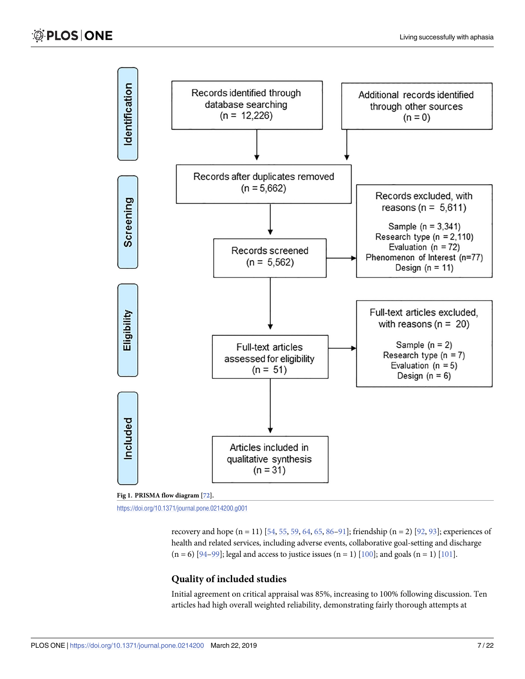<span id="page-6-0"></span>



<https://doi.org/10.1371/journal.pone.0214200.g001>

recovery and hope (n = 11) [[54,](#page-18-0) [55,](#page-18-0) [59](#page-18-0), [64](#page-18-0), [65,](#page-18-0) [86–91\]](#page-19-0); friendship (n = 2) [\[92,](#page-19-0) [93\]](#page-19-0); experiences of health and related services, including adverse events, collaborative goal-setting and discharge  $(n = 6)$  [\[94–99](#page-19-0)]; legal and access to justice issues  $(n = 1)$  [\[100](#page-20-0)]; and goals  $(n = 1)$  [\[101](#page-20-0)].

#### **Quality of included studies**

Initial agreement on critical appraisal was 85%, increasing to 100% following discussion. Ten articles had high overall weighted reliability, demonstrating fairly thorough attempts at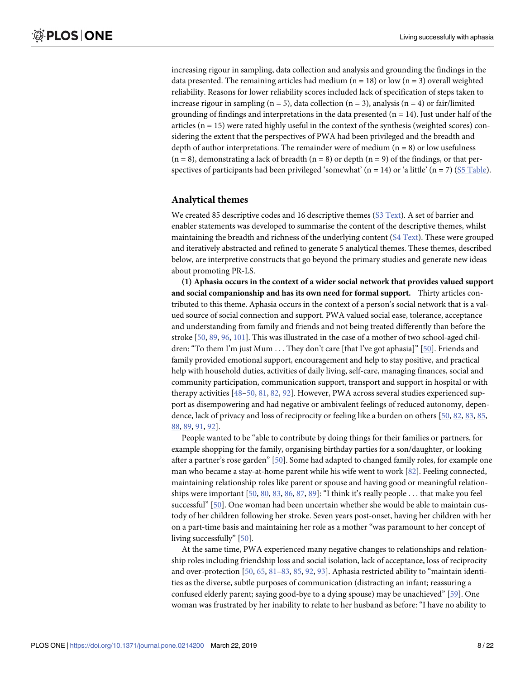<span id="page-7-0"></span>increasing rigour in sampling, data collection and analysis and grounding the findings in the data presented. The remaining articles had medium ( $n = 18$ ) or low ( $n = 3$ ) overall weighted reliability. Reasons for lower reliability scores included lack of specification of steps taken to increase rigour in sampling (n = 5), data collection (n = 3), analysis (n = 4) or fair/limited grounding of findings and interpretations in the data presented  $(n = 14)$ . Just under half of the articles  $(n = 15)$  were rated highly useful in the context of the synthesis (weighted scores) considering the extent that the perspectives of PWA had been privileged and the breadth and depth of author interpretations. The remainder were of medium  $(n = 8)$  or low usefulness  $(n = 8)$ , demonstrating a lack of breadth  $(n = 8)$  or depth  $(n = 9)$  of the findings, or that perspectives of participants had been privileged 'somewhat' ( $n = 14$ ) or 'a little' ( $n = 7$ ) (S5 [Table](#page-15-0)).

#### **Analytical themes**

We created 85 descriptive codes and 16 descriptive themes (S3 [Text\)](#page-14-0). A set of barrier and enabler statements was developed to summarise the content of the descriptive themes, whilst maintaining the breadth and richness of the underlying content (S4 [Text\)](#page-14-0). These were grouped and iteratively abstracted and refined to generate 5 analytical themes. These themes, described below, are interpretive constructs that go beyond the primary studies and generate new ideas about promoting PR-LS.

**(1) Aphasia occurs in the context of a wider social network that provides valued support and social companionship and has its own need for formal support.** Thirty articles contributed to this theme. Aphasia occurs in the context of a person's social network that is a valued source of social connection and support. PWA valued social ease, tolerance, acceptance and understanding from family and friends and not being treated differently than before the stroke [\[50,](#page-17-0) [89,](#page-19-0) [96,](#page-19-0) [101](#page-20-0)]. This was illustrated in the case of a mother of two school-aged chil-dren: "To them I'm just Mum . . . They don't care [that I've got aphasia]" [[50](#page-17-0)]. Friends and family provided emotional support, encouragement and help to stay positive, and practical help with household duties, activities of daily living, self-care, managing finances, social and community participation, communication support, transport and support in hospital or with therapy activities [\[48–50](#page-17-0), [81](#page-19-0), [82](#page-19-0), [92](#page-19-0)]. However, PWA across several studies experienced support as disempowering and had negative or ambivalent feelings of reduced autonomy, dependence, lack of privacy and loss of reciprocity or feeling like a burden on others [[50](#page-17-0), [82](#page-19-0), [83](#page-19-0), [85](#page-19-0), [88,](#page-19-0) [89](#page-19-0), [91](#page-19-0), [92](#page-19-0)].

People wanted to be "able to contribute by doing things for their families or partners, for example shopping for the family, organising birthday parties for a son/daughter, or looking after a partner's rose garden" [[50](#page-17-0)]. Some had adapted to changed family roles, for example one man who became a stay-at-home parent while his wife went to work [\[82\]](#page-19-0). Feeling connected, maintaining relationship roles like parent or spouse and having good or meaningful relationships were important [\[50,](#page-17-0) [80](#page-19-0), [83](#page-19-0), [86](#page-19-0), [87](#page-19-0), [89](#page-19-0)]: "I think it's really people . . . that make you feel successful" [[50](#page-17-0)]. One woman had been uncertain whether she would be able to maintain custody of her children following her stroke. Seven years post-onset, having her children with her on a part-time basis and maintaining her role as a mother "was paramount to her concept of living successfully" [[50](#page-17-0)].

At the same time, PWA experienced many negative changes to relationships and relationship roles including friendship loss and social isolation, lack of acceptance, loss of reciprocity and over-protection [[50](#page-17-0), [65](#page-18-0), [81–83,](#page-19-0) [85,](#page-19-0) [92,](#page-19-0) [93\]](#page-19-0). Aphasia restricted ability to "maintain identities as the diverse, subtle purposes of communication (distracting an infant; reassuring a confused elderly parent; saying good-bye to a dying spouse) may be unachieved" [\[59\]](#page-18-0). One woman was frustrated by her inability to relate to her husband as before: "I have no ability to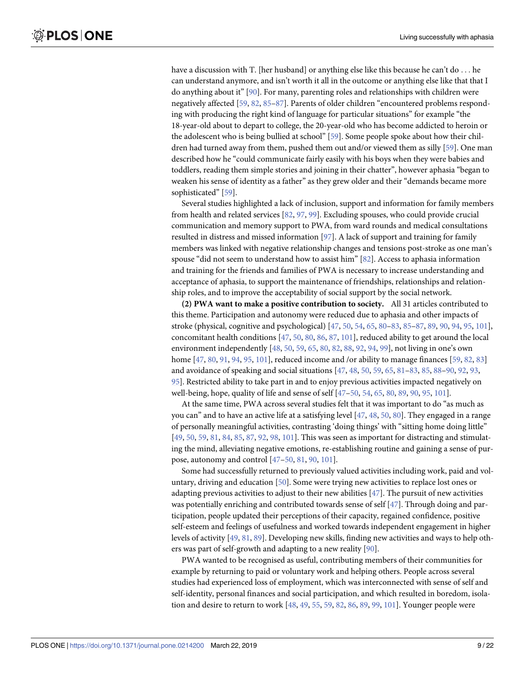<span id="page-8-0"></span>have a discussion with T. [her husband] or anything else like this because he can't do ... he can understand anymore, and isn't worth it all in the outcome or anything else like that that I do anything about it" [\[90\]](#page-19-0). For many, parenting roles and relationships with children were negatively affected [\[59,](#page-18-0) [82,](#page-19-0) [85](#page-19-0)–[87](#page-19-0)]. Parents of older children "encountered problems responding with producing the right kind of language for particular situations" for example "the 18-year-old about to depart to college, the 20-year-old who has become addicted to heroin or the adolescent who is being bullied at school" [\[59\]](#page-18-0). Some people spoke about how their children had turned away from them, pushed them out and/or viewed them as silly [[59](#page-18-0)]. One man described how he "could communicate fairly easily with his boys when they were babies and toddlers, reading them simple stories and joining in their chatter", however aphasia "began to weaken his sense of identity as a father" as they grew older and their "demands became more sophisticated" [[59](#page-18-0)].

Several studies highlighted a lack of inclusion, support and information for family members from health and related services [\[82,](#page-19-0) [97,](#page-19-0) [99](#page-19-0)]. Excluding spouses, who could provide crucial communication and memory support to PWA, from ward rounds and medical consultations resulted in distress and missed information [[97](#page-19-0)]. A lack of support and training for family members was linked with negative relationship changes and tensions post-stroke as one man's spouse "did not seem to understand how to assist him" [\[82\]](#page-19-0). Access to aphasia information and training for the friends and families of PWA is necessary to increase understanding and acceptance of aphasia, to support the maintenance of friendships, relationships and relationship roles, and to improve the acceptability of social support by the social network.

**(2) PWA want to make a positive contribution to society.** All 31 articles contributed to this theme. Participation and autonomy were reduced due to aphasia and other impacts of stroke (physical, cognitive and psychological) [[47](#page-17-0), [50](#page-17-0), [54](#page-18-0), [65](#page-18-0), [80–83,](#page-19-0) [85–87,](#page-19-0) [89](#page-19-0), [90](#page-19-0), [94](#page-19-0), [95](#page-19-0), [101](#page-20-0)], concomitant health conditions [[47](#page-17-0), [50](#page-17-0), [80](#page-19-0), [86](#page-19-0), [87](#page-19-0), [101\]](#page-20-0), reduced ability to get around the local environment independently [\[48,](#page-17-0) [50,](#page-17-0) [59,](#page-18-0) [65,](#page-18-0) [80,](#page-19-0) [82,](#page-19-0) [88,](#page-19-0) [92,](#page-19-0) [94,](#page-19-0) [99\]](#page-19-0), not living in one's own home [\[47,](#page-17-0) [80,](#page-19-0) [91,](#page-19-0) [94,](#page-19-0) [95,](#page-19-0) [101](#page-20-0)], reduced income and /or ability to manage finances [[59](#page-18-0), [82](#page-19-0), [83](#page-19-0)] and avoidance of speaking and social situations [\[47,](#page-17-0) [48,](#page-17-0) [50,](#page-17-0) [59,](#page-18-0) [65,](#page-18-0) [81–83](#page-19-0), [85](#page-19-0), [88–90,](#page-19-0) [92,](#page-19-0) [93,](#page-19-0) [95\]](#page-19-0). Restricted ability to take part in and to enjoy previous activities impacted negatively on well-being, hope, quality of life and sense of self [\[47–50](#page-17-0), [54](#page-18-0), [65](#page-18-0), [80](#page-19-0), [89](#page-19-0), [90](#page-19-0), [95](#page-19-0), [101\]](#page-20-0).

At the same time, PWA across several studies felt that it was important to do "as much as you can" and to have an active life at a satisfying level [\[47,](#page-17-0) [48,](#page-17-0) [50,](#page-17-0) [80\]](#page-19-0). They engaged in a range of personally meaningful activities, contrasting 'doing things' with "sitting home doing little" [\[49,](#page-17-0) [50,](#page-17-0) [59,](#page-18-0) [81,](#page-19-0) [84,](#page-19-0) [85,](#page-19-0) [87,](#page-19-0) [92,](#page-19-0) [98,](#page-19-0) [101](#page-20-0)]. This was seen as important for distracting and stimulating the mind, alleviating negative emotions, re-establishing routine and gaining a sense of purpose, autonomy and control [[47–50,](#page-17-0) [81,](#page-19-0) [90,](#page-19-0) [101](#page-20-0)].

Some had successfully returned to previously valued activities including work, paid and voluntary, driving and education [[50\]](#page-17-0). Some were trying new activities to replace lost ones or adapting previous activities to adjust to their new abilities  $[47]$  $[47]$  $[47]$ . The pursuit of new activities was potentially enriching and contributed towards sense of self [\[47\]](#page-17-0). Through doing and participation, people updated their perceptions of their capacity, regained confidence, positive self-esteem and feelings of usefulness and worked towards independent engagement in higher levels of activity [\[49,](#page-17-0) [81,](#page-19-0) [89](#page-19-0)]. Developing new skills, finding new activities and ways to help others was part of self-growth and adapting to a new reality [\[90\]](#page-19-0).

PWA wanted to be recognised as useful, contributing members of their communities for example by returning to paid or voluntary work and helping others. People across several studies had experienced loss of employment, which was interconnected with sense of self and self-identity, personal finances and social participation, and which resulted in boredom, isolation and desire to return to work [[48](#page-17-0), [49](#page-17-0), [55](#page-18-0), [59](#page-18-0), [82](#page-19-0), [86](#page-19-0), [89](#page-19-0), [99](#page-19-0), [101\]](#page-20-0). Younger people were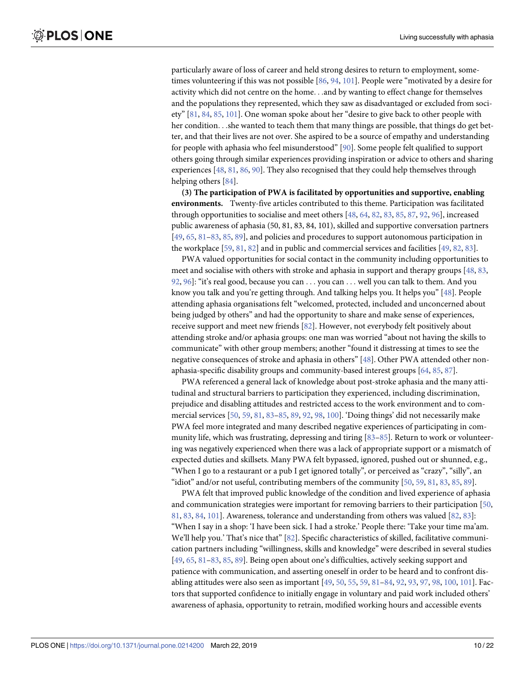particularly aware of loss of career and held strong desires to return to employment, sometimes volunteering if this was not possible [[86](#page-19-0), [94](#page-19-0), [101\]](#page-20-0). People were "motivated by a desire for activity which did not centre on the home. . .and by wanting to effect change for themselves and the populations they represented, which they saw as disadvantaged or excluded from society" [\[81,](#page-19-0) [84,](#page-19-0) [85,](#page-19-0) [101](#page-20-0)]. One woman spoke about her "desire to give back to other people with her condition. . .she wanted to teach them that many things are possible, that things do get better, and that their lives are not over. She aspired to be a source of empathy and understanding for people with aphasia who feel misunderstood" [[90](#page-19-0)]. Some people felt qualified to support others going through similar experiences providing inspiration or advice to others and sharing experiences [\[48,](#page-17-0) [81,](#page-19-0) [86,](#page-19-0) [90](#page-19-0)]. They also recognised that they could help themselves through helping others [[84](#page-19-0)].

**(3) The participation of PWA is facilitated by opportunities and supportive, enabling environments.** Twenty-five articles contributed to this theme. Participation was facilitated through opportunities to socialise and meet others [[48](#page-17-0), [64](#page-18-0), [82](#page-19-0), [83](#page-19-0), [85](#page-19-0), [87](#page-19-0), [92](#page-19-0), [96](#page-19-0)], increased public awareness of aphasia (50, 81, 83, 84, 101), skilled and supportive conversation partners [\[49,](#page-17-0) [65,](#page-18-0) [81–83,](#page-19-0) [85,](#page-19-0) [89](#page-19-0)], and policies and procedures to support autonomous participation in the workplace [\[59,](#page-18-0) [81,](#page-19-0) [82\]](#page-19-0) and in public and commercial services and facilities [[49](#page-17-0), [82](#page-19-0), [83](#page-19-0)].

PWA valued opportunities for social contact in the community including opportunities to meet and socialise with others with stroke and aphasia in support and therapy groups [[48](#page-17-0), [83](#page-19-0), [92,](#page-19-0) [96](#page-19-0)]: "it's real good, because you can . . . you can . . . well you can talk to them. And you know you talk and you're getting through. And talking helps you. It helps you" [\[48\]](#page-17-0). People attending aphasia organisations felt "welcomed, protected, included and unconcerned about being judged by others" and had the opportunity to share and make sense of experiences, receive support and meet new friends [[82](#page-19-0)]. However, not everybody felt positively about attending stroke and/or aphasia groups: one man was worried "about not having the skills to communicate" with other group members; another "found it distressing at times to see the negative consequences of stroke and aphasia in others" [\[48\]](#page-17-0). Other PWA attended other nonaphasia-specific disability groups and community-based interest groups [[64](#page-18-0), [85](#page-19-0), [87](#page-19-0)].

PWA referenced a general lack of knowledge about post-stroke aphasia and the many attitudinal and structural barriers to participation they experienced, including discrimination, prejudice and disabling attitudes and restricted access to the work environment and to commercial services [\[50,](#page-17-0) [59,](#page-18-0) [81,](#page-19-0) [83–85,](#page-19-0) [89,](#page-19-0) [92,](#page-19-0) [98](#page-19-0), [100](#page-20-0)]. 'Doing things' did not necessarily make PWA feel more integrated and many described negative experiences of participating in community life, which was frustrating, depressing and tiring [\[83–85](#page-19-0)]. Return to work or volunteering was negatively experienced when there was a lack of appropriate support or a mismatch of expected duties and skillsets. Many PWA felt bypassed, ignored, pushed out or shunned, e.g., "When I go to a restaurant or a pub I get ignored totally", or perceived as "crazy", "silly", an "idiot" and/or not useful, contributing members of the community [\[50,](#page-17-0) [59,](#page-18-0) [81,](#page-19-0) [83](#page-19-0), [85](#page-19-0), [89](#page-19-0)].

PWA felt that improved public knowledge of the condition and lived experience of aphasia and communication strategies were important for removing barriers to their participation [\[50,](#page-17-0) [81,](#page-19-0) [83](#page-19-0), [84](#page-19-0), [101](#page-20-0)]. Awareness, tolerance and understanding from others was valued [\[82,](#page-19-0) [83\]](#page-19-0): "When I say in a shop: 'I have been sick. I had a stroke.' People there: 'Take your time ma'am. We'll help you.' That's nice that" [[82](#page-19-0)]. Specific characteristics of skilled, facilitative communication partners including "willingness, skills and knowledge" were described in several studies [\[49,](#page-17-0) [65,](#page-18-0) [81–83,](#page-19-0) [85,](#page-19-0) [89](#page-19-0)]. Being open about one's difficulties, actively seeking support and patience with communication, and asserting oneself in order to be heard and to confront disabling attitudes were also seen as important [\[49,](#page-17-0) [50](#page-17-0), [55](#page-18-0), [59](#page-18-0), [81–84,](#page-19-0) [92,](#page-19-0) [93,](#page-19-0) [97,](#page-19-0) [98](#page-19-0), [100](#page-20-0), [101\]](#page-20-0). Factors that supported confidence to initially engage in voluntary and paid work included others' awareness of aphasia, opportunity to retrain, modified working hours and accessible events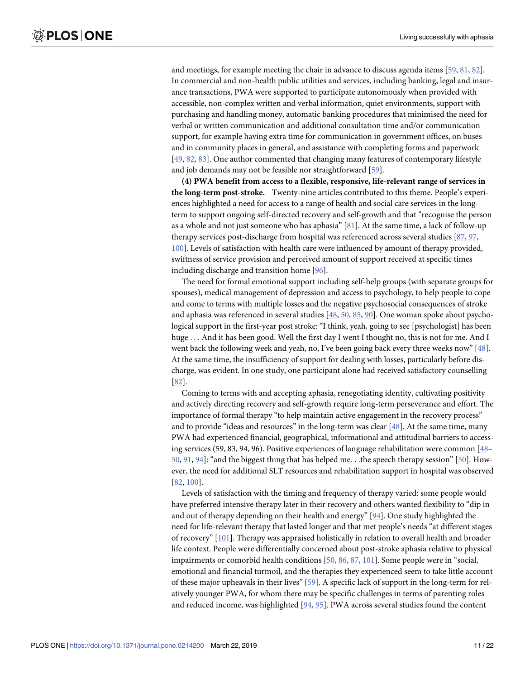and meetings, for example meeting the chair in advance to discuss agenda items [[59](#page-18-0), [81](#page-19-0), [82\]](#page-19-0). In commercial and non-health public utilities and services, including banking, legal and insurance transactions, PWA were supported to participate autonomously when provided with accessible, non-complex written and verbal information, quiet environments, support with purchasing and handling money, automatic banking procedures that minimised the need for verbal or written communication and additional consultation time and/or communication support, for example having extra time for communication in government offices, on buses and in community places in general, and assistance with completing forms and paperwork [\[49,](#page-17-0) [82,](#page-19-0) [83\]](#page-19-0). One author commented that changing many features of contemporary lifestyle and job demands may not be feasible nor straightforward [\[59\]](#page-18-0).

**(4) PWA benefit from access to a flexible, responsive, life-relevant range of services in the long-term post-stroke.** Twenty-nine articles contributed to this theme. People's experiences highlighted a need for access to a range of health and social care services in the longterm to support ongoing self-directed recovery and self-growth and that "recognise the person as a whole and not just someone who has aphasia" [[81](#page-19-0)]. At the same time, a lack of follow-up therapy services post-discharge from hospital was referenced across several studies [[87](#page-19-0), [97](#page-19-0), [100](#page-20-0)]. Levels of satisfaction with health care were influenced by amount of therapy provided, swiftness of service provision and perceived amount of support received at specific times including discharge and transition home [[96](#page-19-0)].

The need for formal emotional support including self-help groups (with separate groups for spouses), medical management of depression and access to psychology, to help people to cope and come to terms with multiple losses and the negative psychosocial consequences of stroke and aphasia was referenced in several studies [[48](#page-17-0), [50](#page-17-0), [85](#page-19-0), [90\]](#page-19-0). One woman spoke about psychological support in the first-year post stroke: "I think, yeah, going to see [psychologist] has been huge . . . And it has been good. Well the first day I went I thought no, this is not for me. And I went back the following week and yeah, no, I've been going back every three weeks now" [\[48\]](#page-17-0). At the same time, the insufficiency of support for dealing with losses, particularly before discharge, was evident. In one study, one participant alone had received satisfactory counselling [\[82\]](#page-19-0).

Coming to terms with and accepting aphasia, renegotiating identity, cultivating positivity and actively directing recovery and self-growth require long-term perseverance and effort. The importance of formal therapy "to help maintain active engagement in the recovery process" and to provide "ideas and resources" in the long-term was clear [[48](#page-17-0)]. At the same time, many PWA had experienced financial, geographical, informational and attitudinal barriers to accessing services (59, 83, 94, 96). Positive experiences of language rehabilitation were common [\[48–](#page-17-0) [50,](#page-17-0) [91](#page-19-0), [94](#page-19-0)]: "and the biggest thing that has helped me. . .the speech therapy session" [\[50\]](#page-17-0). However, the need for additional SLT resources and rehabilitation support in hospital was observed [\[82,](#page-19-0) [100\]](#page-20-0).

Levels of satisfaction with the timing and frequency of therapy varied: some people would have preferred intensive therapy later in their recovery and others wanted flexibility to "dip in and out of therapy depending on their health and energy" [\[94\]](#page-19-0). One study highlighted the need for life-relevant therapy that lasted longer and that met people's needs "at different stages of recovery" [\[101](#page-20-0)]. Therapy was appraised holistically in relation to overall health and broader life context. People were differentially concerned about post-stroke aphasia relative to physical impairments or comorbid health conditions [[50](#page-17-0), [86](#page-19-0), [87](#page-19-0), [101](#page-20-0)]. Some people were in "social, emotional and financial turmoil, and the therapies they experienced seem to take little account of these major upheavals in their lives" [[59](#page-18-0)]. A specific lack of support in the long-term for relatively younger PWA, for whom there may be specific challenges in terms of parenting roles and reduced income, was highlighted [\[94,](#page-19-0) [95\]](#page-19-0). PWA across several studies found the content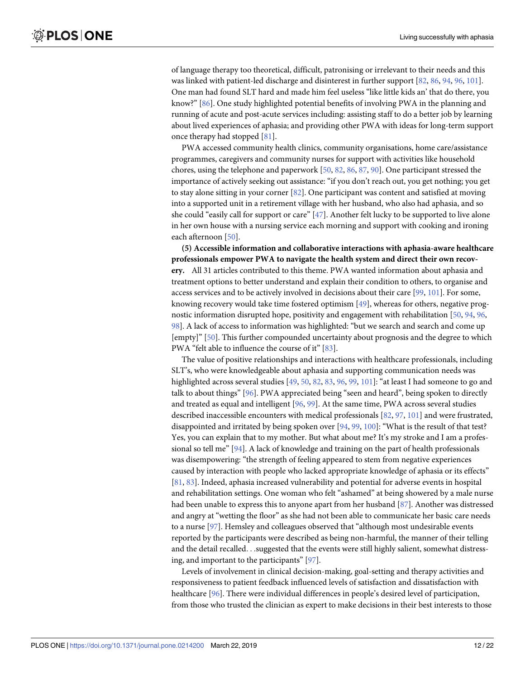of language therapy too theoretical, difficult, patronising or irrelevant to their needs and this was linked with patient-led discharge and disinterest in further support [\[82,](#page-19-0) [86,](#page-19-0) [94,](#page-19-0) [96,](#page-19-0) [101](#page-20-0)]. One man had found SLT hard and made him feel useless "like little kids an' that do there, you know?" [[86](#page-19-0)]. One study highlighted potential benefits of involving PWA in the planning and running of acute and post-acute services including: assisting staff to do a better job by learning about lived experiences of aphasia; and providing other PWA with ideas for long-term support once therapy had stopped [[81](#page-19-0)].

PWA accessed community health clinics, community organisations, home care/assistance programmes, caregivers and community nurses for support with activities like household chores, using the telephone and paperwork [[50](#page-17-0), [82](#page-19-0), [86](#page-19-0), [87](#page-19-0), [90](#page-19-0)]. One participant stressed the importance of actively seeking out assistance: "if you don't reach out, you get nothing; you get to stay alone sitting in your corner [\[82\]](#page-19-0). One participant was content and satisfied at moving into a supported unit in a retirement village with her husband, who also had aphasia, and so she could "easily call for support or care" [[47](#page-17-0)]. Another felt lucky to be supported to live alone in her own house with a nursing service each morning and support with cooking and ironing each afternoon [\[50\]](#page-17-0).

**(5) Accessible information and collaborative interactions with aphasia-aware healthcare professionals empower PWA to navigate the health system and direct their own recovery.** All 31 articles contributed to this theme. PWA wanted information about aphasia and treatment options to better understand and explain their condition to others, to organise and access services and to be actively involved in decisions about their care [[99](#page-19-0), [101](#page-20-0)]. For some, knowing recovery would take time fostered optimism [\[49\]](#page-17-0), whereas for others, negative prognostic information disrupted hope, positivity and engagement with rehabilitation [\[50,](#page-17-0) [94,](#page-19-0) [96,](#page-19-0) [98\]](#page-19-0). A lack of access to information was highlighted: "but we search and search and come up [empty]" [\[50\]](#page-17-0). This further compounded uncertainty about prognosis and the degree to which PWA "felt able to influence the course of it" [\[83\]](#page-19-0).

The value of positive relationships and interactions with healthcare professionals, including SLT's, who were knowledgeable about aphasia and supporting communication needs was highlighted across several studies [\[49,](#page-17-0) [50,](#page-17-0) [82](#page-19-0), [83](#page-19-0), [96](#page-19-0), [99](#page-19-0), [101](#page-20-0)]: "at least I had someone to go and talk to about things" [\[96\]](#page-19-0). PWA appreciated being "seen and heard", being spoken to directly and treated as equal and intelligent [\[96,](#page-19-0) [99\]](#page-19-0). At the same time, PWA across several studies described inaccessible encounters with medical professionals [\[82,](#page-19-0) [97,](#page-19-0) [101](#page-20-0)] and were frustrated, disappointed and irritated by being spoken over [\[94,](#page-19-0) [99,](#page-19-0) [100](#page-20-0)]: "What is the result of that test? Yes, you can explain that to my mother. But what about me? It's my stroke and I am a professional so tell me" [\[94\]](#page-19-0). A lack of knowledge and training on the part of health professionals was disempowering: "the strength of feeling appeared to stem from negative experiences caused by interaction with people who lacked appropriate knowledge of aphasia or its effects" [\[81,](#page-19-0) [83\]](#page-19-0). Indeed, aphasia increased vulnerability and potential for adverse events in hospital and rehabilitation settings. One woman who felt "ashamed" at being showered by a male nurse had been unable to express this to anyone apart from her husband [[87](#page-19-0)]. Another was distressed and angry at "wetting the floor" as she had not been able to communicate her basic care needs to a nurse [[97](#page-19-0)]. Hemsley and colleagues observed that "although most undesirable events reported by the participants were described as being non-harmful, the manner of their telling and the detail recalled. . .suggested that the events were still highly salient, somewhat distressing, and important to the participants" [\[97\]](#page-19-0).

Levels of involvement in clinical decision-making, goal-setting and therapy activities and responsiveness to patient feedback influenced levels of satisfaction and dissatisfaction with healthcare [[96](#page-19-0)]. There were individual differences in people's desired level of participation, from those who trusted the clinician as expert to make decisions in their best interests to those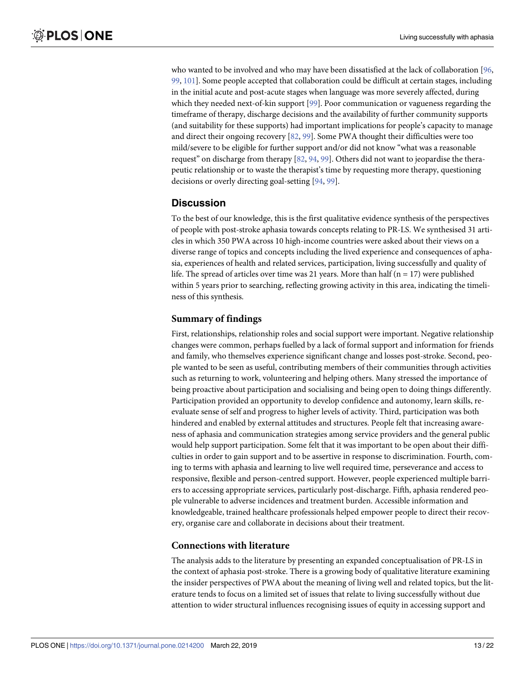who wanted to be involved and who may have been dissatisfied at the lack of collaboration [\[96,](#page-19-0) [99,](#page-19-0) [101](#page-20-0)]. Some people accepted that collaboration could be difficult at certain stages, including in the initial acute and post-acute stages when language was more severely affected, during which they needed next-of-kin support [[99](#page-19-0)]. Poor communication or vagueness regarding the timeframe of therapy, discharge decisions and the availability of further community supports (and suitability for these supports) had important implications for people's capacity to manage and direct their ongoing recovery [[82](#page-19-0), [99](#page-19-0)]. Some PWA thought their difficulties were too mild/severe to be eligible for further support and/or did not know "what was a reasonable request" on discharge from therapy [\[82,](#page-19-0) [94,](#page-19-0) [99\]](#page-19-0). Others did not want to jeopardise the therapeutic relationship or to waste the therapist's time by requesting more therapy, questioning decisions or overly directing goal-setting [\[94,](#page-19-0) [99\]](#page-19-0).

#### **Discussion**

To the best of our knowledge, this is the first qualitative evidence synthesis of the perspectives of people with post-stroke aphasia towards concepts relating to PR-LS. We synthesised 31 articles in which 350 PWA across 10 high-income countries were asked about their views on a diverse range of topics and concepts including the lived experience and consequences of aphasia, experiences of health and related services, participation, living successfully and quality of life. The spread of articles over time was 21 years. More than half ( $n = 17$ ) were published within 5 years prior to searching, reflecting growing activity in this area, indicating the timeliness of this synthesis.

#### **Summary of findings**

First, relationships, relationship roles and social support were important. Negative relationship changes were common, perhaps fuelled by a lack of formal support and information for friends and family, who themselves experience significant change and losses post-stroke. Second, people wanted to be seen as useful, contributing members of their communities through activities such as returning to work, volunteering and helping others. Many stressed the importance of being proactive about participation and socialising and being open to doing things differently. Participation provided an opportunity to develop confidence and autonomy, learn skills, reevaluate sense of self and progress to higher levels of activity. Third, participation was both hindered and enabled by external attitudes and structures. People felt that increasing awareness of aphasia and communication strategies among service providers and the general public would help support participation. Some felt that it was important to be open about their difficulties in order to gain support and to be assertive in response to discrimination. Fourth, coming to terms with aphasia and learning to live well required time, perseverance and access to responsive, flexible and person-centred support. However, people experienced multiple barriers to accessing appropriate services, particularly post-discharge. Fifth, aphasia rendered people vulnerable to adverse incidences and treatment burden. Accessible information and knowledgeable, trained healthcare professionals helped empower people to direct their recovery, organise care and collaborate in decisions about their treatment.

#### **Connections with literature**

The analysis adds to the literature by presenting an expanded conceptualisation of PR-LS in the context of aphasia post-stroke. There is a growing body of qualitative literature examining the insider perspectives of PWA about the meaning of living well and related topics, but the literature tends to focus on a limited set of issues that relate to living successfully without due attention to wider structural influences recognising issues of equity in accessing support and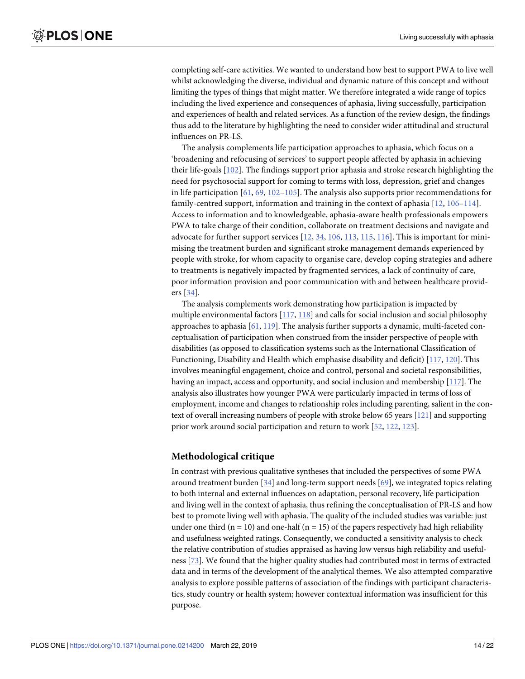<span id="page-13-0"></span>completing self-care activities. We wanted to understand how best to support PWA to live well whilst acknowledging the diverse, individual and dynamic nature of this concept and without limiting the types of things that might matter. We therefore integrated a wide range of topics including the lived experience and consequences of aphasia, living successfully, participation and experiences of health and related services. As a function of the review design, the findings thus add to the literature by highlighting the need to consider wider attitudinal and structural influences on PR-LS.

The analysis complements life participation approaches to aphasia, which focus on a 'broadening and refocusing of services' to support people affected by aphasia in achieving their life-goals [[102\]](#page-20-0). The findings support prior aphasia and stroke research highlighting the need for psychosocial support for coming to terms with loss, depression, grief and changes in life participation  $[61, 69, 102-105]$  $[61, 69, 102-105]$  $[61, 69, 102-105]$  $[61, 69, 102-105]$  $[61, 69, 102-105]$ . The analysis also supports prior recommendations for family-centred support, information and training in the context of aphasia [[12,](#page-16-0) [106–114\]](#page-20-0). Access to information and to knowledgeable, aphasia-aware health professionals empowers PWA to take charge of their condition, collaborate on treatment decisions and navigate and advocate for further support services [\[12,](#page-16-0) [34](#page-17-0), [106](#page-20-0), [113](#page-20-0), [115](#page-20-0), [116](#page-20-0)]. This is important for minimising the treatment burden and significant stroke management demands experienced by people with stroke, for whom capacity to organise care, develop coping strategies and adhere to treatments is negatively impacted by fragmented services, a lack of continuity of care, poor information provision and poor communication with and between healthcare providers [[34](#page-17-0)].

The analysis complements work demonstrating how participation is impacted by multiple environmental factors [\[117](#page-20-0), [118](#page-20-0)] and calls for social inclusion and social philosophy approaches to aphasia  $[61, 119]$  $[61, 119]$  $[61, 119]$  $[61, 119]$ . The analysis further supports a dynamic, multi-faceted conceptualisation of participation when construed from the insider perspective of people with disabilities (as opposed to classification systems such as the International Classification of Functioning, Disability and Health which emphasise disability and deficit) [[117,](#page-20-0) [120\]](#page-20-0). This involves meaningful engagement, choice and control, personal and societal responsibilities, having an impact, access and opportunity, and social inclusion and membership [[117](#page-20-0)]. The analysis also illustrates how younger PWA were particularly impacted in terms of loss of employment, income and changes to relationship roles including parenting, salient in the context of overall increasing numbers of people with stroke below 65 years [\[121\]](#page-20-0) and supporting prior work around social participation and return to work [\[52,](#page-18-0) [122,](#page-21-0) [123](#page-21-0)].

#### **Methodological critique**

In contrast with previous qualitative syntheses that included the perspectives of some PWA around treatment burden [\[34\]](#page-17-0) and long-term support needs [[69](#page-18-0)], we integrated topics relating to both internal and external influences on adaptation, personal recovery, life participation and living well in the context of aphasia, thus refining the conceptualisation of PR-LS and how best to promote living well with aphasia. The quality of the included studies was variable: just under one third ( $n = 10$ ) and one-half ( $n = 15$ ) of the papers respectively had high reliability and usefulness weighted ratings. Consequently, we conducted a sensitivity analysis to check the relative contribution of studies appraised as having low versus high reliability and usefulness [[73](#page-18-0)]. We found that the higher quality studies had contributed most in terms of extracted data and in terms of the development of the analytical themes. We also attempted comparative analysis to explore possible patterns of association of the findings with participant characteristics, study country or health system; however contextual information was insufficient for this purpose.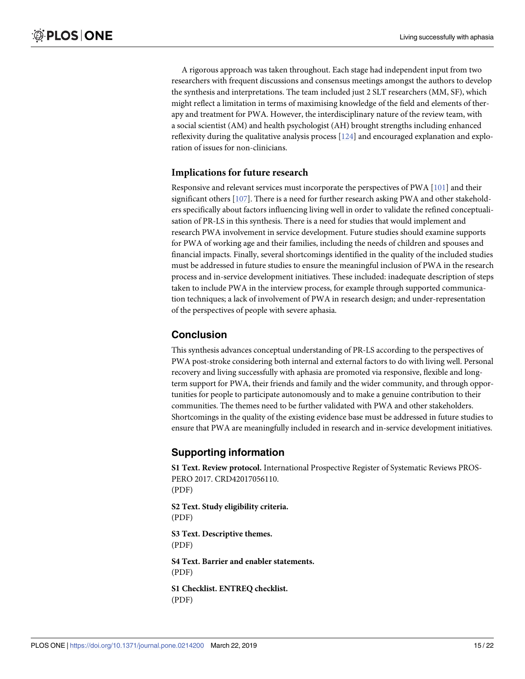<span id="page-14-0"></span>A rigorous approach was taken throughout. Each stage had independent input from two researchers with frequent discussions and consensus meetings amongst the authors to develop the synthesis and interpretations. The team included just 2 SLT researchers (MM, SF), which might reflect a limitation in terms of maximising knowledge of the field and elements of therapy and treatment for PWA. However, the interdisciplinary nature of the review team, with a social scientist (AM) and health psychologist (AH) brought strengths including enhanced reflexivity during the qualitative analysis process [\[124](#page-21-0)] and encouraged explanation and exploration of issues for non-clinicians.

#### **Implications for future research**

Responsive and relevant services must incorporate the perspectives of PWA [[101](#page-20-0)] and their significant others [\[107\]](#page-20-0). There is a need for further research asking PWA and other stakeholders specifically about factors influencing living well in order to validate the refined conceptualisation of PR-LS in this synthesis. There is a need for studies that would implement and research PWA involvement in service development. Future studies should examine supports for PWA of working age and their families, including the needs of children and spouses and financial impacts. Finally, several shortcomings identified in the quality of the included studies must be addressed in future studies to ensure the meaningful inclusion of PWA in the research process and in-service development initiatives. These included: inadequate description of steps taken to include PWA in the interview process, for example through supported communication techniques; a lack of involvement of PWA in research design; and under-representation of the perspectives of people with severe aphasia.

## **Conclusion**

This synthesis advances conceptual understanding of PR-LS according to the perspectives of PWA post-stroke considering both internal and external factors to do with living well. Personal recovery and living successfully with aphasia are promoted via responsive, flexible and longterm support for PWA, their friends and family and the wider community, and through opportunities for people to participate autonomously and to make a genuine contribution to their communities. The themes need to be further validated with PWA and other stakeholders. Shortcomings in the quality of the existing evidence base must be addressed in future studies to ensure that PWA are meaningfully included in research and in-service development initiatives.

# **Supporting information**

**S1 [Text](http://www.plosone.org/article/fetchSingleRepresentation.action?uri=info:doi/10.1371/journal.pone.0214200.s001). Review protocol.** International Prospective Register of Systematic Reviews PROS-PERO 2017. CRD42017056110. (PDF)

**S2 [Text](http://www.plosone.org/article/fetchSingleRepresentation.action?uri=info:doi/10.1371/journal.pone.0214200.s002). Study eligibility criteria.** (PDF)

**S3 [Text](http://www.plosone.org/article/fetchSingleRepresentation.action?uri=info:doi/10.1371/journal.pone.0214200.s003). Descriptive themes.** (PDF) **S4 [Text](http://www.plosone.org/article/fetchSingleRepresentation.action?uri=info:doi/10.1371/journal.pone.0214200.s004). Barrier and enabler statements.**

(PDF)

**S1 [Checklist.](http://www.plosone.org/article/fetchSingleRepresentation.action?uri=info:doi/10.1371/journal.pone.0214200.s005) ENTREQ checklist.** (PDF)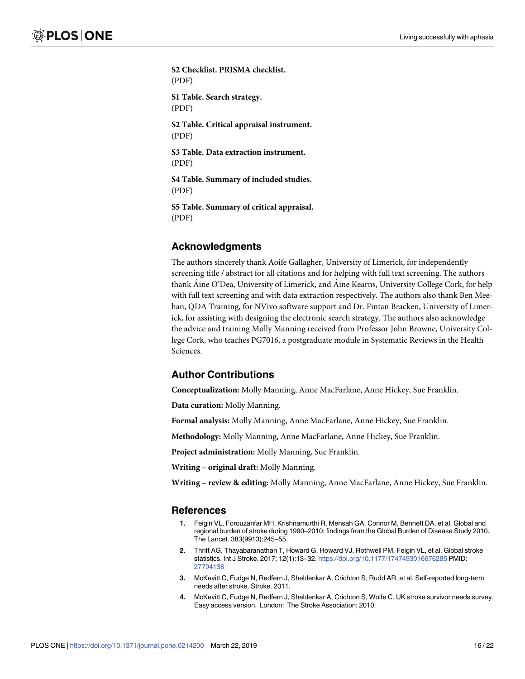<span id="page-15-0"></span>**S2 [Checklist.](http://www.plosone.org/article/fetchSingleRepresentation.action?uri=info:doi/10.1371/journal.pone.0214200.s006) PRISMA checklist.** (PDF) **S1 [Table.](http://www.plosone.org/article/fetchSingleRepresentation.action?uri=info:doi/10.1371/journal.pone.0214200.s007) Search strategy.** (PDF) **S2 [Table.](http://www.plosone.org/article/fetchSingleRepresentation.action?uri=info:doi/10.1371/journal.pone.0214200.s008) Critical appraisal instrument.** (PDF) **S3 [Table.](http://www.plosone.org/article/fetchSingleRepresentation.action?uri=info:doi/10.1371/journal.pone.0214200.s009) Data extraction instrument.** (PDF) **S4 [Table.](http://www.plosone.org/article/fetchSingleRepresentation.action?uri=info:doi/10.1371/journal.pone.0214200.s010) Summary of included studies.** (PDF) **S5 [Table.](http://www.plosone.org/article/fetchSingleRepresentation.action?uri=info:doi/10.1371/journal.pone.0214200.s011) Summary of critical appraisal.** (PDF)

#### **Acknowledgments**

The authors sincerely thank Aoife Gallagher, University of Limerick, for independently screening title / abstract for all citations and for helping with full text screening. The authors thank Aine O'Dea, University of Limerick, and Aine Kearns, University College Cork, for help with full text screening and with data extraction respectively. The authors also thank Ben Meehan, QDA Training, for NVivo software support and Dr. Fintan Bracken, University of Limerick, for assisting with designing the electronic search strategy. The authors also acknowledge the advice and training Molly Manning received from Professor John Browne, University College Cork, who teaches PG7016, a postgraduate module in Systematic Reviews in the Health Sciences.

#### **Author Contributions**

**Conceptualization:** Molly Manning, Anne MacFarlane, Anne Hickey, Sue Franklin.

**Data curation:** Molly Manning.

**Formal analysis:** Molly Manning, Anne MacFarlane, Anne Hickey, Sue Franklin.

**Methodology:** Molly Manning, Anne MacFarlane, Anne Hickey, Sue Franklin.

**Project administration:** Molly Manning, Sue Franklin.

**Writing – original draft:** Molly Manning.

**Writing – review & editing:** Molly Manning, Anne MacFarlane, Anne Hickey, Sue Franklin.

#### **References**

- **[1](#page-1-0).** Feigin VL, Forouzanfar MH, Krishnamurthi R, Mensah GA, Connor M, Bennett DA, et al. Global and regional burden of stroke during 1990–2010: findings from the Global Burden of Disease Study 2010. The Lancet. 383(9913):245–55.
- **[2](#page-1-0).** Thrift AG, Thayabaranathan T, Howard G, Howard VJ, Rothwell PM, Feigin VL, et al. Global stroke statistics. Int J Stroke. 2017; 12(1):13–32. <https://doi.org/10.1177/1747493016676285> PMID: [27794138](http://www.ncbi.nlm.nih.gov/pubmed/27794138)
- **[3](#page-1-0).** McKevitt C, Fudge N, Redfern J, Sheldenkar A, Crichton S, Rudd AR, et al. Self-reported long-term needs after stroke. Stroke. 2011.
- **[4](#page-1-0).** McKevitt C, Fudge N, Redfern J, Sheldenkar A, Crichton S, Wolfe C. UK stroke survivor needs survey. Easy access version. London: The Stroke Association; 2010.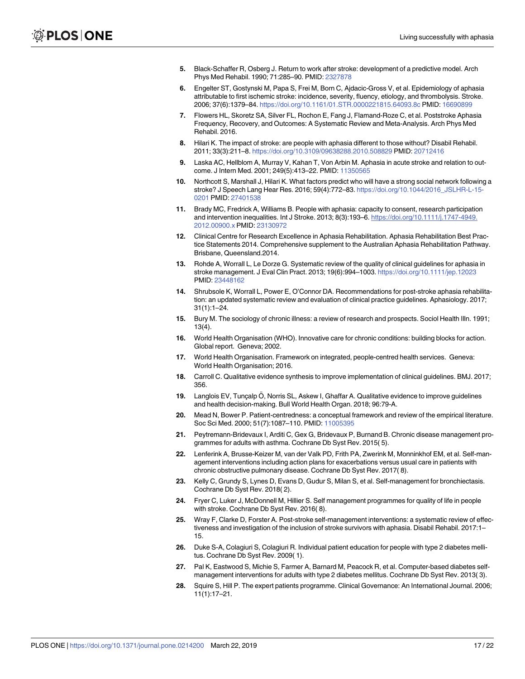- <span id="page-16-0"></span>**[5](#page-1-0).** Black-Schaffer R, Osberg J. Return to work after stroke: development of a predictive model. Arch Phys Med Rehabil. 1990; 71:285–90. PMID: [2327878](http://www.ncbi.nlm.nih.gov/pubmed/2327878)
- **6.** Engelter ST, Gostynski M, Papa S, Frei M, Born C, Ajdacic-Gross V, et al. Epidemiology of aphasia attributable to first ischemic stroke: incidence, severity, fluency, etiology, and thrombolysis. Stroke. 2006; 37(6):1379–84. <https://doi.org/10.1161/01.STR.0000221815.64093.8c> PMID: [16690899](http://www.ncbi.nlm.nih.gov/pubmed/16690899)
- **7.** Flowers HL, Skoretz SA, Silver FL, Rochon E, Fang J, Flamand-Roze C, et al. Poststroke Aphasia Frequency, Recovery, and Outcomes: A Systematic Review and Meta-Analysis. Arch Phys Med Rehabil. 2016.
- **8.** Hilari K. The impact of stroke: are people with aphasia different to those without? Disabil Rehabil. 2011; 33(3):211–8. <https://doi.org/10.3109/09638288.2010.508829> PMID: [20712416](http://www.ncbi.nlm.nih.gov/pubmed/20712416)
- **9.** Laska AC, Hellblom A, Murray V, Kahan T, Von Arbin M. Aphasia in acute stroke and relation to outcome. J Intern Med. 2001; 249(5):413–22. PMID: [11350565](http://www.ncbi.nlm.nih.gov/pubmed/11350565)
- **[10](#page-1-0).** Northcott S, Marshall J, Hilari K. What factors predict who will have a strong social network following a stroke? J Speech Lang Hear Res. 2016; 59(4):772–83. [https://doi.org/10.1044/2016\\_JSLHR-L-15-](https://doi.org/10.1044/2016_JSLHR-L-15-0201) [0201](https://doi.org/10.1044/2016_JSLHR-L-15-0201) PMID: [27401538](http://www.ncbi.nlm.nih.gov/pubmed/27401538)
- **[11](#page-1-0).** Brady MC, Fredrick A, Williams B. People with aphasia: capacity to consent, research participation and intervention inequalities. Int J Stroke. 2013; 8(3):193–6. [https://doi.org/10.1111/j.1747-4949.](https://doi.org/10.1111/j.1747-4949.2012.00900.x) [2012.00900.x](https://doi.org/10.1111/j.1747-4949.2012.00900.x) PMID: [23130972](http://www.ncbi.nlm.nih.gov/pubmed/23130972)
- **[12](#page-13-0).** Clinical Centre for Research Excellence in Aphasia Rehabilitation. Aphasia Rehabilitation Best Practice Statements 2014. Comprehensive supplement to the Australian Aphasia Rehabilitation Pathway. Brisbane, Queensland.2014.
- **13.** Rohde A, Worrall L, Le Dorze G. Systematic review of the quality of clinical guidelines for aphasia in stroke management. J Eval Clin Pract. 2013; 19(6):994–1003. <https://doi.org/10.1111/jep.12023> PMID: [23448162](http://www.ncbi.nlm.nih.gov/pubmed/23448162)
- **[14](#page-1-0).** Shrubsole K, Worrall L, Power E, O'Connor DA. Recommendations for post-stroke aphasia rehabilitation: an updated systematic review and evaluation of clinical practice guidelines. Aphasiology. 2017; 31(1):1–24.
- **[15](#page-1-0).** Bury M. The sociology of chronic illness: a review of research and prospects. Sociol Health Illn. 1991; 13(4).
- **[16](#page-1-0).** World Health Organisation (WHO). Innovative care for chronic conditions: building blocks for action. Global report. Geneva; 2002.
- **[17](#page-1-0).** World Health Organisation. Framework on integrated, people-centred health services. Geneva: World Health Organisation; 2016.
- **[18](#page-1-0).** Carroll C. Qualitative evidence synthesis to improve implementation of clinical guidelines. BMJ. 2017; 356.
- **[19](#page-1-0).** Langlois EV, Tunçalp Ö, Norris SL, Askew I, Ghaffar A. Qualitative evidence to improve guidelines and health decision-making. Bull World Health Organ. 2018; 96:79-A.
- **[20](#page-1-0).** Mead N, Bower P. Patient-centredness: a conceptual framework and review of the empirical literature. Soc Sci Med. 2000; 51(7):1087–110. PMID: [11005395](http://www.ncbi.nlm.nih.gov/pubmed/11005395)
- **[21](#page-1-0).** Peytremann-Bridevaux I, Arditi C, Gex G, Bridevaux P, Burnand B. Chronic disease management programmes for adults with asthma. Cochrane Db Syst Rev. 2015( 5).
- **22.** Lenferink A, Brusse-Keizer M, van der Valk PD, Frith PA, Zwerink M, Monninkhof EM, et al. Self-management interventions including action plans for exacerbations versus usual care in patients with chronic obstructive pulmonary disease. Cochrane Db Syst Rev. 2017( 8).
- **23.** Kelly C, Grundy S, Lynes D, Evans D, Gudur S, Milan S, et al. Self-management for bronchiectasis. Cochrane Db Syst Rev. 2018( 2).
- **24.** Fryer C, Luker J, McDonnell M, Hillier S. Self management programmes for quality of life in people with stroke. Cochrane Db Syst Rev. 2016( 8).
- **25.** Wray F, Clarke D, Forster A. Post-stroke self-management interventions: a systematic review of effectiveness and investigation of the inclusion of stroke survivors with aphasia. Disabil Rehabil. 2017:1– 15.
- **26.** Duke S-A, Colagiuri S, Colagiuri R. Individual patient education for people with type 2 diabetes mellitus. Cochrane Db Syst Rev. 2009( 1).
- **27.** Pal K, Eastwood S, Michie S, Farmer A, Barnard M, Peacock R, et al. Computer-based diabetes selfmanagement interventions for adults with type 2 diabetes mellitus. Cochrane Db Syst Rev. 2013( 3).
- **28.** Squire S, Hill P. The expert patients programme. Clinical Governance: An International Journal. 2006; 11(1):17–21.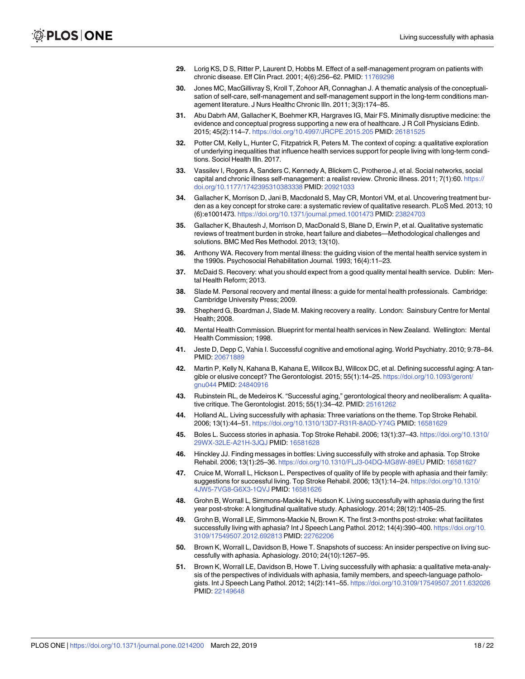- <span id="page-17-0"></span>**[29](#page-1-0).** Lorig KS, D S, Ritter P, Laurent D, Hobbs M. Effect of a self-management program on patients with chronic disease. Eff Clin Pract. 2001; 4(6):256–62. PMID: [11769298](http://www.ncbi.nlm.nih.gov/pubmed/11769298)
- **[30](#page-1-0).** Jones MC, MacGillivray S, Kroll T, Zohoor AR, Connaghan J. A thematic analysis of the conceptualisation of self-care, self-management and self-management support in the long-term conditions management literature. J Nurs Healthc Chronic Illn. 2011; 3(3):174–85.
- **[31](#page-1-0).** Abu Dabrh AM, Gallacher K, Boehmer KR, Hargraves IG, Mair FS. Minimally disruptive medicine: the evidence and conceptual progress supporting a new era of healthcare. J R Coll Physicians Edinb. 2015; 45(2):114–7. <https://doi.org/10.4997/JRCPE.2015.205> PMID: [26181525](http://www.ncbi.nlm.nih.gov/pubmed/26181525)
- **[32](#page-2-0).** Potter CM, Kelly L, Hunter C, Fitzpatrick R, Peters M. The context of coping: a qualitative exploration of underlying inequalities that influence health services support for people living with long-term conditions. Sociol Health Illn. 2017.
- **[33](#page-1-0).** Vassilev I, Rogers A, Sanders C, Kennedy A, Blickem C, Protheroe J, et al. Social networks, social capital and chronic illness self-management: a realist review. Chronic illness. 2011; 7(1):60. [https://](https://doi.org/10.1177/1742395310383338) [doi.org/10.1177/1742395310383338](https://doi.org/10.1177/1742395310383338) PMID: [20921033](http://www.ncbi.nlm.nih.gov/pubmed/20921033)
- **[34](#page-1-0).** Gallacher K, Morrison D, Jani B, Macdonald S, May CR, Montori VM, et al. Uncovering treatment burden as a key concept for stroke care: a systematic review of qualitative research. PLoS Med. 2013; 10 (6):e1001473. <https://doi.org/10.1371/journal.pmed.1001473> PMID: [23824703](http://www.ncbi.nlm.nih.gov/pubmed/23824703)
- **[35](#page-1-0).** Gallacher K, Bhautesh J, Morrison D, MacDonald S, Blane D, Erwin P, et al. Qualitative systematic reviews of treatment burden in stroke, heart failure and diabetes—Methodological challenges and solutions. BMC Med Res Methodol. 2013; 13(10).
- **[36](#page-2-0).** Anthony WA. Recovery from mental illness: the guiding vision of the mental health service system in the 1990s. Psychosocial Rehabilitation Journal. 1993; 16(4):11–23.
- **[37](#page-2-0).** McDaid S. Recovery: what you should expect from a good quality mental health service. Dublin: Mental Health Reform; 2013.
- **[38](#page-2-0).** Slade M. Personal recovery and mental illness: a guide for mental health professionals. Cambridge: Cambridge University Press; 2009.
- **[39](#page-2-0).** Shepherd G, Boardman J, Slade M. Making recovery a reality. London: Sainsbury Centre for Mental Health; 2008.
- **[40](#page-2-0).** Mental Health Commission. Blueprint for mental health services in New Zealand. Wellington: Mental Health Commission; 1998.
- **[41](#page-2-0).** Jeste D, Depp C, Vahia I. Successful cognitive and emotional aging. World Psychiatry. 2010; 9:78–84. PMID: [20671889](http://www.ncbi.nlm.nih.gov/pubmed/20671889)
- **[42](#page-2-0).** Martin P, Kelly N, Kahana B, Kahana E, Willcox BJ, Willcox DC, et al. Defining successful aging: A tangible or elusive concept? The Gerontologist. 2015; 55(1):14–25. [https://doi.org/10.1093/geront/](https://doi.org/10.1093/geront/gnu044) [gnu044](https://doi.org/10.1093/geront/gnu044) PMID: [24840916](http://www.ncbi.nlm.nih.gov/pubmed/24840916)
- **[43](#page-2-0).** Rubinstein RL, de Medeiros K. "Successful aging," gerontological theory and neoliberalism: A qualitative critique. The Gerontologist. 2015; 55(1):34–42. PMID: [25161262](http://www.ncbi.nlm.nih.gov/pubmed/25161262)
- **[44](#page-2-0).** Holland AL. Living successfully with aphasia: Three variations on the theme. Top Stroke Rehabil. 2006; 13(1):44–51. <https://doi.org/10.1310/13D7-R31R-8A0D-Y74G> PMID: [16581629](http://www.ncbi.nlm.nih.gov/pubmed/16581629)
- **[45](#page-2-0).** Boles L. Success stories in aphasia. Top Stroke Rehabil. 2006; 13(1):37–43. [https://doi.org/10.1310/](https://doi.org/10.1310/29WX-32LE-A21H-3JQJ) [29WX-32LE-A21H-3JQJ](https://doi.org/10.1310/29WX-32LE-A21H-3JQJ) PMID: [16581628](http://www.ncbi.nlm.nih.gov/pubmed/16581628)
- **[46](#page-2-0).** Hinckley JJ. Finding messages in bottles: Living successfully with stroke and aphasia. Top Stroke Rehabil. 2006; 13(1):25–36. <https://doi.org/10.1310/FLJ3-04DQ-MG8W-89EU> PMID: [16581627](http://www.ncbi.nlm.nih.gov/pubmed/16581627)
- **[47](#page-2-0).** Cruice M, Worrall L, Hickson L. Perspectives of quality of life by people with aphasia and their family: suggestions for successful living. Top Stroke Rehabil. 2006; 13(1):14–24. [https://doi.org/10.1310/](https://doi.org/10.1310/4JW5-7VG8-G6X3-1QVJ) [4JW5-7VG8-G6X3-1QVJ](https://doi.org/10.1310/4JW5-7VG8-G6X3-1QVJ) PMID: [16581626](http://www.ncbi.nlm.nih.gov/pubmed/16581626)
- **[48](#page-2-0).** Grohn B, Worrall L, Simmons-Mackie N, Hudson K. Living successfully with aphasia during the first year post-stroke: A longitudinal qualitative study. Aphasiology. 2014; 28(12):1405–25.
- **[49](#page-3-0).** Grohn B, Worrall LE, Simmons-Mackie N, Brown K. The first 3-months post-stroke: what facilitates successfully living with aphasia? Int J Speech Lang Pathol. 2012; 14(4):390–400. [https://doi.org/10.](https://doi.org/10.3109/17549507.2012.692813) [3109/17549507.2012.692813](https://doi.org/10.3109/17549507.2012.692813) PMID: [22762206](http://www.ncbi.nlm.nih.gov/pubmed/22762206)
- **[50](#page-2-0).** Brown K, Worrall L, Davidson B, Howe T. Snapshots of success: An insider perspective on living successfully with aphasia. Aphasiology. 2010; 24(10):1267–95.
- **[51](#page-2-0).** Brown K, Worrall LE, Davidson B, Howe T. Living successfully with aphasia: a qualitative meta-analysis of the perspectives of individuals with aphasia, family members, and speech-language pathologists. Int J Speech Lang Pathol. 2012; 14(2):141-55. <https://doi.org/10.3109/17549507.2011.632026> PMID: [22149648](http://www.ncbi.nlm.nih.gov/pubmed/22149648)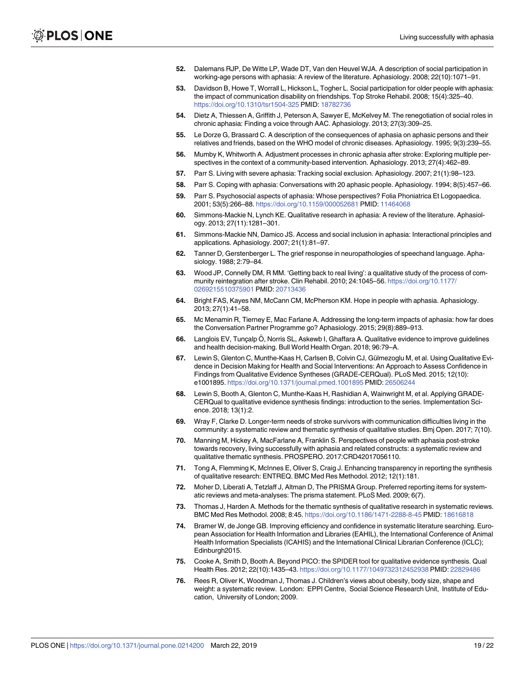- <span id="page-18-0"></span>**[52](#page-3-0).** Dalemans RJP, De Witte LP, Wade DT, Van den Heuvel WJA. A description of social participation in working-age persons with aphasia: A review of the literature. Aphasiology. 2008; 22(10):1071–91.
- **53.** Davidson B, Howe T, Worrall L, Hickson L, Togher L. Social participation for older people with aphasia: the impact of communication disability on friendships. Top Stroke Rehabil. 2008; 15(4):325–40. <https://doi.org/10.1310/tsr1504-325> PMID: [18782736](http://www.ncbi.nlm.nih.gov/pubmed/18782736)
- **[54](#page-6-0).** Dietz A, Thiessen A, Griffith J, Peterson A, Sawyer E, McKelvey M. The renegotiation of social roles in chronic aphasia: Finding a voice through AAC. Aphasiology. 2013; 27(3):309–25.
- **[55](#page-6-0).** Le Dorze G, Brassard C. A description of the consequences of aphasia on aphasic persons and their relatives and friends, based on the WHO model of chronic diseases. Aphasiology. 1995; 9(3):239–55.
- **56.** Mumby K, Whitworth A. Adjustment processes in chronic aphasia after stroke: Exploring multiple perspectives in the context of a community-based intervention. Aphasiology. 2013; 27(4):462–89.
- **57.** Parr S. Living with severe aphasia: Tracking social exclusion. Aphasiology. 2007; 21(1):98–123.
- **58.** Parr S. Coping with aphasia: Conversations with 20 aphasic people. Aphasiology. 1994; 8(5):457–66.
- **[59](#page-6-0).** Parr S. Psychosocial aspects of aphasia: Whose perspectives? Folia Phoniatrica Et Logopaedica. 2001; 53(5):266–88. <https://doi.org/10.1159/000052681> PMID: [11464068](http://www.ncbi.nlm.nih.gov/pubmed/11464068)
- **60.** Simmons-Mackie N, Lynch KE. Qualitative research in aphasia: A review of the literature. Aphasiology. 2013; 27(11):1281–301.
- **[61](#page-13-0).** Simmons-Mackie NN, Damico JS. Access and social inclusion in aphasia: Interactional principles and applications. Aphasiology. 2007; 21(1):81–97.
- **62.** Tanner D, Gerstenberger L. The grief response in neuropathologies of speechand language. Aphasiology. 1988; 2:79–84.
- **63.** Wood JP, Connelly DM, R MM. 'Getting back to real living': a qualitative study of the process of community reintegration after stroke. Clin Rehabil. 2010; 24:1045–56. [https://doi.org/10.1177/](https://doi.org/10.1177/0269215510375901) [0269215510375901](https://doi.org/10.1177/0269215510375901) PMID: [20713436](http://www.ncbi.nlm.nih.gov/pubmed/20713436)
- **[64](#page-6-0).** Bright FAS, Kayes NM, McCann CM, McPherson KM. Hope in people with aphasia. Aphasiology. 2013; 27(1):41–58.
- **[65](#page-3-0).** Mc Menamin R, Tierney E, Mac Farlane A. Addressing the long-term impacts of aphasia: how far does the Conversation Partner Programme go? Aphasiology. 2015; 29(8):889–913.
- **[66](#page-3-0).** Langlois EV, Tunçalp Ö, Norris SL, Askewb I, Ghaffara A. Qualitative evidence to improve guidelines and health decision-making. Bull World Health Organ. 2018; 96:79–A.
- **67.** Lewin S, Glenton C, Munthe-Kaas H, Carlsen B, Colvin CJ, Gülmezoglu M, et al. Using Qualitative Evidence in Decision Making for Health and Social Interventions: An Approach to Assess Confidence in Findings from Qualitative Evidence Syntheses (GRADE-CERQual). PLoS Med. 2015; 12(10): e1001895. <https://doi.org/10.1371/journal.pmed.1001895> PMID: [26506244](http://www.ncbi.nlm.nih.gov/pubmed/26506244)
- **[68](#page-3-0).** Lewin S, Booth A, Glenton C, Munthe-Kaas H, Rashidian A, Wainwright M, et al. Applying GRADE-CERQual to qualitative evidence synthesis findings: introduction to the series. Implementation Science. 2018; 13(1):2.
- **[69](#page-3-0).** Wray F, Clarke D. Longer-term needs of stroke survivors with communication difficulties living in the community: a systematic review and thematic synthesis of qualitative studies. Bmj Open. 2017; 7(10).
- **[70](#page-3-0).** Manning M, Hickey A, MacFarlane A, Franklin S. Perspectives of people with aphasia post-stroke towards recovery, living successfully with aphasia and related constructs: a systematic review and qualitative thematic synthesis. PROSPERO. 2017:CRD42017056110.
- **[71](#page-3-0).** Tong A, Flemming K, McInnes E, Oliver S, Craig J. Enhancing transparency in reporting the synthesis of qualitative research: ENTREQ. BMC Med Res Methodol. 2012; 12(1):181.
- **[72](#page-3-0).** Moher D, Liberati A, Tetzlaff J, Altman D, The PRISMA Group. Preferred reporting items for systematic reviews and meta-analyses: The prisma statement. PLoS Med. 2009; 6(7).
- **[73](#page-4-0).** Thomas J, Harden A. Methods for the thematic synthesis of qualitative research in systematic reviews. BMC Med Res Methodol. 2008; 8:45. <https://doi.org/10.1186/1471-2288-8-45> PMID: [18616818](http://www.ncbi.nlm.nih.gov/pubmed/18616818)
- **[74](#page-4-0).** Bramer W, de Jonge GB. Improving efficiency and confidence in systematic literature searching. European Association for Health Information and Libraries (EAHIL), the International Conference of Animal Health Information Specialists (ICAHIS) and the International Clinical Librarian Conference (ICLC); Edinburgh2015.
- **[75](#page-4-0).** Cooke A, Smith D, Booth A. Beyond PICO: the SPIDER tool for qualitative evidence synthesis. Qual Health Res. 2012; 22(10):1435–43. <https://doi.org/10.1177/1049732312452938> PMID: [22829486](http://www.ncbi.nlm.nih.gov/pubmed/22829486)
- **[76](#page-4-0).** Rees R, Oliver K, Woodman J, Thomas J. Children's views about obesity, body size, shape and weight: a systematic review. London: EPPI Centre, Social Science Research Unit, Institute of Education, University of London; 2009.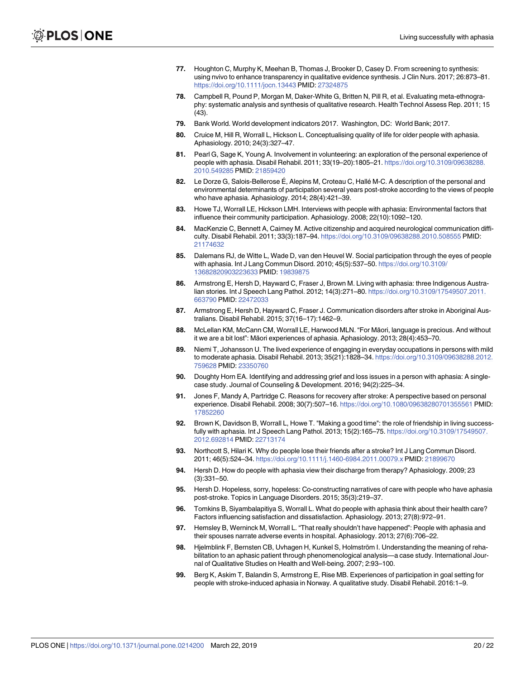- <span id="page-19-0"></span>**[77](#page-5-0).** Houghton C, Murphy K, Meehan B, Thomas J, Brooker D, Casey D. From screening to synthesis: using nvivo to enhance transparency in qualitative evidence synthesis. J Clin Nurs. 2017; 26:873–81. <https://doi.org/10.1111/jocn.13443> PMID: [27324875](http://www.ncbi.nlm.nih.gov/pubmed/27324875)
- **[78](#page-5-0).** Campbell R, Pound P, Morgan M, Daker-White G, Britten N, Pill R, et al. Evaluating meta-ethnography: systematic analysis and synthesis of qualitative research. Health Technol Assess Rep. 2011; 15 (43).
- **[79](#page-5-0).** Bank World. World development indicators 2017. Washington, DC: World Bank; 2017.
- **[80](#page-5-0).** Cruice M, Hill R, Worrall L, Hickson L. Conceptualising quality of life for older people with aphasia. Aphasiology. 2010; 24(3):327–47.
- **[81](#page-5-0).** Pearl G, Sage K, Young A. Involvement in volunteering: an exploration of the personal experience of people with aphasia. Disabil Rehabil. 2011; 33(19–20):1805–21. [https://doi.org/10.3109/09638288.](https://doi.org/10.3109/09638288.2010.549285) [2010.549285](https://doi.org/10.3109/09638288.2010.549285) PMID: [21859420](http://www.ncbi.nlm.nih.gov/pubmed/21859420)
- **[82](#page-7-0).** Le Dorze G, Salois-Bellerose É, Alepins M, Croteau C, Hallé M-C. A description of the personal and environmental determinants of participation several years post-stroke according to the views of people who have aphasia. Aphasiology. 2014; 28(4):421–39.
- **[83](#page-7-0).** Howe TJ, Worrall LE, Hickson LMH. Interviews with people with aphasia: Environmental factors that influence their community participation. Aphasiology. 2008; 22(10):1092–120.
- **[84](#page-8-0).** MacKenzie C, Bennett A, Cairney M. Active citizenship and acquired neurological communication difficulty. Disabil Rehabil. 2011; 33(3):187–94. <https://doi.org/10.3109/09638288.2010.508555> PMID: [21174632](http://www.ncbi.nlm.nih.gov/pubmed/21174632)
- **[85](#page-5-0).** Dalemans RJ, de Witte L, Wade D, van den Heuvel W. Social participation through the eyes of people with aphasia. Int J Lang Commun Disord. 2010; 45(5):537–50. [https://doi.org/10.3109/](https://doi.org/10.3109/13682820903223633) [13682820903223633](https://doi.org/10.3109/13682820903223633) PMID: [19839875](http://www.ncbi.nlm.nih.gov/pubmed/19839875)
- **[86](#page-6-0).** Armstrong E, Hersh D, Hayward C, Fraser J, Brown M. Living with aphasia: three Indigenous Australian stories. Int J Speech Lang Pathol. 2012; 14(3):271–80. [https://doi.org/10.3109/17549507.2011.](https://doi.org/10.3109/17549507.2011.663790) [663790](https://doi.org/10.3109/17549507.2011.663790) PMID: [22472033](http://www.ncbi.nlm.nih.gov/pubmed/22472033)
- **[87](#page-7-0).** Armstrong E, Hersh D, Hayward C, Fraser J. Communication disorders after stroke in Aboriginal Australians. Disabil Rehabil. 2015; 37(16–17):1462–9.
- **[88](#page-7-0).** McLellan KM, McCann CM, Worrall LE, Harwood MLN. "For Māori, language is precious. And without it we are a bit lost": Māori experiences of aphasia. Aphasiology. 2013; 28(4):453–70.
- **[89](#page-7-0).** Niemi T, Johansson U. The lived experience of engaging in everyday occupations in persons with mild to moderate aphasia. Disabil Rehabil. 2013; 35(21):1828–34. [https://doi.org/10.3109/09638288.2012.](https://doi.org/10.3109/09638288.2012.759628) [759628](https://doi.org/10.3109/09638288.2012.759628) PMID: [23350760](http://www.ncbi.nlm.nih.gov/pubmed/23350760)
- **[90](#page-8-0).** Doughty Horn EA. Identifying and addressing grief and loss issues in a person with aphasia: A singlecase study. Journal of Counseling & Development. 2016; 94(2):225–34.
- **[91](#page-6-0).** Jones F, Mandy A, Partridge C. Reasons for recovery after stroke: A perspective based on personal experience. Disabil Rehabil. 2008; 30(7):507–16. <https://doi.org/10.1080/09638280701355561> PMID: [17852260](http://www.ncbi.nlm.nih.gov/pubmed/17852260)
- **[92](#page-6-0).** Brown K, Davidson B, Worrall L, Howe T. "Making a good time": the role of friendship in living successfully with aphasia. Int J Speech Lang Pathol. 2013; 15(2):165–75. [https://doi.org/10.3109/17549507.](https://doi.org/10.3109/17549507.2012.692814) [2012.692814](https://doi.org/10.3109/17549507.2012.692814) PMID: [22713174](http://www.ncbi.nlm.nih.gov/pubmed/22713174)
- **[93](#page-6-0).** Northcott S, Hilari K. Why do people lose their friends after a stroke? Int J Lang Commun Disord. 2011; 46(5):524–34. <https://doi.org/10.1111/j.1460-6984.2011.00079.x> PMID: [21899670](http://www.ncbi.nlm.nih.gov/pubmed/21899670)
- **[94](#page-6-0).** Hersh D. How do people with aphasia view their discharge from therapy? Aphasiology. 2009; 23 (3):331–50.
- **[95](#page-8-0).** Hersh D. Hopeless, sorry, hopeless: Co-constructing narratives of care with people who have aphasia post-stroke. Topics in Language Disorders. 2015; 35(3):219–37.
- **[96](#page-7-0).** Tomkins B, Siyambalapitiya S, Worrall L. What do people with aphasia think about their health care? Factors influencing satisfaction and dissatisfaction. Aphasiology. 2013; 27(8):972–91.
- **[97](#page-8-0).** Hemsley B, Werninck M, Worrall L. "That really shouldn't have happened": People with aphasia and their spouses narrate adverse events in hospital. Aphasiology. 2013; 27(6):706–22.
- **[98](#page-8-0).** Hjelmblink F, Bernsten CB, Uvhagen H, Kunkel S, Holmström I. Understanding the meaning of rehabilitation to an aphasic patient through phenomenological analysis—a case study. International Journal of Qualitative Studies on Health and Well-being. 2007; 2:93–100.
- **[99](#page-6-0).** Berg K, Askim T, Balandin S, Armstrong E, Rise MB. Experiences of participation in goal setting for people with stroke-induced aphasia in Norway. A qualitative study. Disabil Rehabil. 2016:1–9.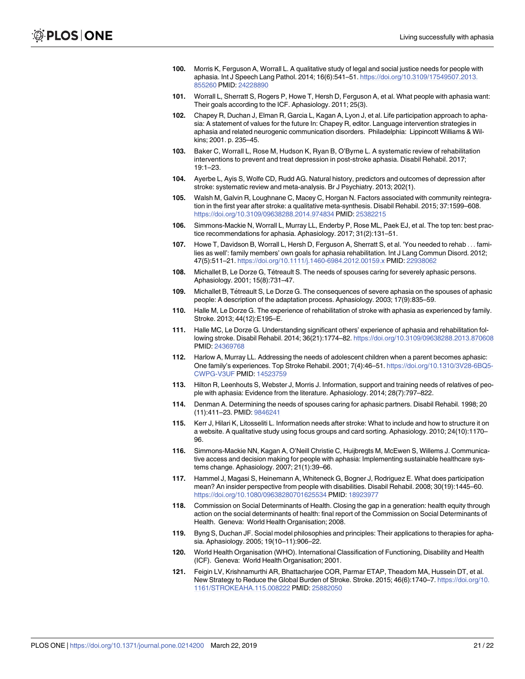- <span id="page-20-0"></span>**[100](#page-6-0).** Morris K, Ferguson A, Worrall L. A qualitative study of legal and social justice needs for people with aphasia. Int J Speech Lang Pathol. 2014; 16(6):541–51. [https://doi.org/10.3109/17549507.2013.](https://doi.org/10.3109/17549507.2013.855260) [855260](https://doi.org/10.3109/17549507.2013.855260) PMID: [24228890](http://www.ncbi.nlm.nih.gov/pubmed/24228890)
- **[101](#page-6-0).** Worrall L, Sherratt S, Rogers P, Howe T, Hersh D, Ferguson A, et al. What people with aphasia want: Their goals according to the ICF. Aphasiology. 2011; 25(3).
- **[102](#page-13-0).** Chapey R, Duchan J, Elman R, Garcia L, Kagan A, Lyon J, et al. Life participation approach to aphasia: A statement of values for the future In: Chapey R, editor. Language intervention strategies in aphasia and related neurogenic communication disorders. Philadelphia: Lippincott Williams & Wilkins; 2001. p. 235–45.
- **103.** Baker C, Worrall L, Rose M, Hudson K, Ryan B, O'Byrne L. A systematic review of rehabilitation interventions to prevent and treat depression in post-stroke aphasia. Disabil Rehabil. 2017; 19:1–23.
- **104.** Ayerbe L, Ayis S, Wolfe CD, Rudd AG. Natural history, predictors and outcomes of depression after stroke: systematic review and meta-analysis. Br J Psychiatry. 2013; 202(1).
- **[105](#page-13-0).** Walsh M, Galvin R, Loughnane C, Macey C, Horgan N. Factors associated with community reintegration in the first year after stroke: a qualitative meta-synthesis. Disabil Rehabil. 2015; 37:1599–608. <https://doi.org/10.3109/09638288.2014.974834> PMID: [25382215](http://www.ncbi.nlm.nih.gov/pubmed/25382215)
- **[106](#page-13-0).** Simmons-Mackie N, Worrall L, Murray LL, Enderby P, Rose ML, Paek EJ, et al. The top ten: best practice recommendations for aphasia. Aphasiology. 2017; 31(2):131–51.
- **[107](#page-14-0).** Howe T, Davidson B, Worrall L, Hersh D, Ferguson A, Sherratt S, et al. 'You needed to rehab . . . families as well': family members' own goals for aphasia rehabilitation. Int J Lang Commun Disord. 2012; 47(5):511–21. <https://doi.org/10.1111/j.1460-6984.2012.00159.x> PMID: [22938062](http://www.ncbi.nlm.nih.gov/pubmed/22938062)
- **108.** Michallet B, Le Dorze G, Tétreault S. The needs of spouses caring for severely aphasic persons. Aphasiology. 2001; 15(8):731–47.
- **109.** Michallet B, Tétreault S, Le Dorze G. The consequences of severe aphasia on the spouses of aphasic people: A description of the adaptation process. Aphasiology. 2003; 17(9):835–59.
- **110.** Halle M, Le Dorze G. The experience of rehabilitation of stroke with aphasia as experienced by family. Stroke. 2013; 44(12):E195–E.
- **111.** Halle MC, Le Dorze G. Understanding significant others' experience of aphasia and rehabilitation following stroke. Disabil Rehabil. 2014; 36(21):1774–82. <https://doi.org/10.3109/09638288.2013.870608> PMID: [24369768](http://www.ncbi.nlm.nih.gov/pubmed/24369768)
- **112.** Harlow A, Murray LL. Addressing the needs of adolescent children when a parent becomes aphasic: One family's experiences. Top Stroke Rehabil. 2001; 7(4):46–51. [https://doi.org/10.1310/3V28-6BQ5-](https://doi.org/10.1310/3V28-6BQ5-CWPG-V3UF) [CWPG-V3UF](https://doi.org/10.1310/3V28-6BQ5-CWPG-V3UF) PMID: [14523759](http://www.ncbi.nlm.nih.gov/pubmed/14523759)
- **[113](#page-13-0).** Hilton R, Leenhouts S, Webster J, Morris J. Information, support and training needs of relatives of people with aphasia: Evidence from the literature. Aphasiology. 2014; 28(7):797–822.
- **[114](#page-13-0).** Denman A. Determining the needs of spouses caring for aphasic partners. Disabil Rehabil. 1998; 20 (11):411–23. PMID: [9846241](http://www.ncbi.nlm.nih.gov/pubmed/9846241)
- **[115](#page-13-0).** Kerr J, Hilari K, Litosseliti L. Information needs after stroke: What to include and how to structure it on a website. A qualitative study using focus groups and card sorting. Aphasiology. 2010; 24(10):1170– 96.
- **[116](#page-13-0).** Simmons-Mackie NN, Kagan A, O'Neill Christie C, Huijbregts M, McEwen S, Willems J. Communicative access and decision making for people with aphasia: Implementing sustainable healthcare systems change. Aphasiology. 2007; 21(1):39–66.
- **[117](#page-13-0).** Hammel J, Magasi S, Heinemann A, Whiteneck G, Bogner J, Rodriguez E. What does participation mean? An insider perspective from people with disabilities. Disabil Rehabil. 2008; 30(19):1445–60. <https://doi.org/10.1080/09638280701625534> PMID: [18923977](http://www.ncbi.nlm.nih.gov/pubmed/18923977)
- **[118](#page-13-0).** Commission on Social Determinants of Health. Closing the gap in a generation: health equity through action on the social determinants of health: final report of the Commission on Social Determinants of Health. Geneva: World Health Organisation; 2008.
- **[119](#page-13-0).** Byng S, Duchan JF. Social model philosophies and principles: Their applications to therapies for aphasia. Aphasiology. 2005; 19(10–11):906–22.
- **[120](#page-13-0).** World Health Organisation (WHO). International Classification of Functioning, Disability and Health (ICF). Geneva: World Health Organisation; 2001.
- **[121](#page-13-0).** Feigin LV, Krishnamurthi AR, Bhattacharjee COR, Parmar ETAP, Theadom MA, Hussein DT, et al. New Strategy to Reduce the Global Burden of Stroke. Stroke. 2015; 46(6):1740–7. [https://doi.org/10.](https://doi.org/10.1161/STROKEAHA.115.008222) [1161/STROKEAHA.115.008222](https://doi.org/10.1161/STROKEAHA.115.008222) PMID: [25882050](http://www.ncbi.nlm.nih.gov/pubmed/25882050)